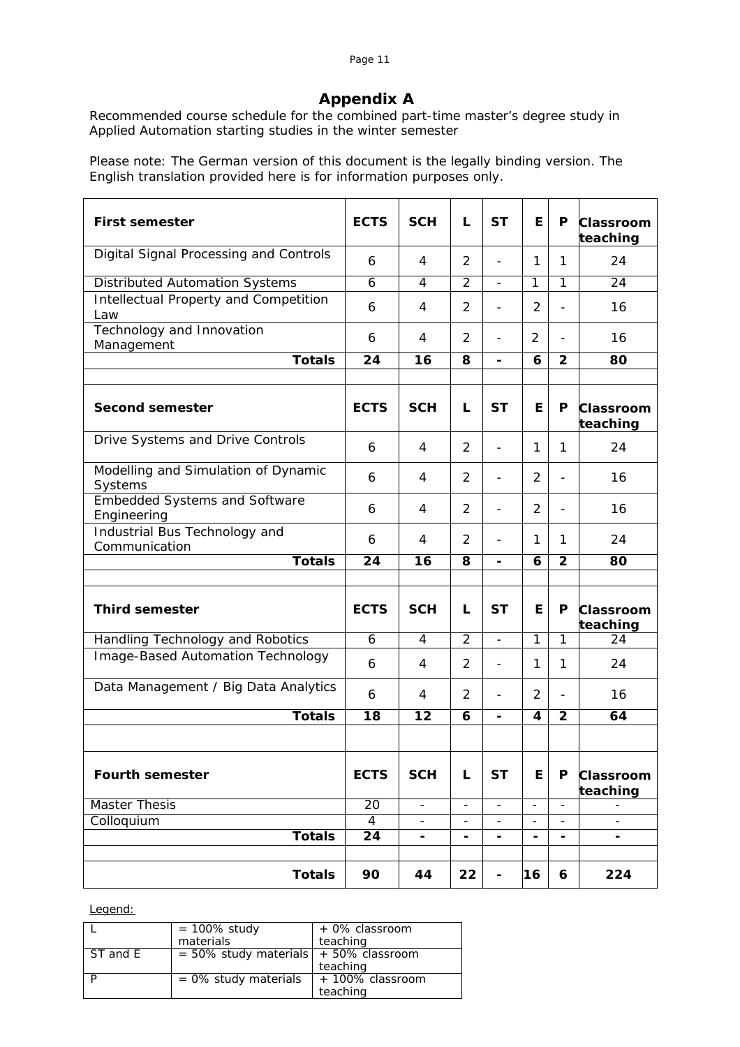#### Page 11

# **Appendix A**

Recommended course schedule for the combined part-time master's degree study in Applied Automation starting studies in the winter semester

Please note: The German version of this document is the legally binding version. The English translation provided here is for information purposes only.

| <b>First semester</b>                               | <b>ECTS</b>          | <b>SCH</b>               | L                        | <b>ST</b>                    | E                        | P                            | Classroom<br>teaching        |
|-----------------------------------------------------|----------------------|--------------------------|--------------------------|------------------------------|--------------------------|------------------------------|------------------------------|
| Digital Signal Processing and Controls              | 6                    | 4                        | $\overline{2}$           | $\overline{\phantom{0}}$     | 1                        | 1                            | 24                           |
| <b>Distributed Automation Systems</b>               | 6                    | 4                        | $\overline{2}$           | $\overline{\phantom{a}}$     | 1                        | 1                            | 24                           |
| Intellectual Property and Competition<br>Law        | 6                    | 4                        | 2                        | $\overline{a}$               | $\overline{2}$           | $\overline{a}$               | 16                           |
| Technology and Innovation<br>Management             | 6                    | 4                        | $\overline{2}$           |                              | 2                        | $\overline{\phantom{a}}$     | 16                           |
| <b>Totals</b>                                       | $\overline{24}$      | $\overline{16}$          | $\overline{\mathbf{8}}$  | $\overline{\phantom{0}}$     | $\overline{6}$           | $\overline{2}$               | 80                           |
|                                                     |                      |                          |                          |                              |                          |                              |                              |
| <b>Second semester</b>                              | <b>ECTS</b>          | <b>SCH</b>               | L                        | <b>ST</b>                    | Е                        | P                            | <b>Classroom</b><br>teaching |
| Drive Systems and Drive Controls                    | 6                    | 4                        | $\overline{2}$           | $\overline{\phantom{0}}$     | 1                        | 1                            | 24                           |
| Modelling and Simulation of Dynamic<br>Systems      | 6                    | 4                        | $\overline{2}$           | $\overline{\phantom{0}}$     | $\overline{2}$           | $\overline{a}$               | 16                           |
| <b>Embedded Systems and Software</b><br>Engineering | 6                    | 4                        | $\overline{2}$           | $\overline{a}$               | $\overline{2}$           | $\overline{\phantom{0}}$     | 16                           |
| Industrial Bus Technology and<br>Communication      | 6                    | 4                        | $\overline{2}$           |                              | 1                        | 1                            | 24                           |
| <b>Totals</b>                                       | $\overline{24}$      | 16                       | $\overline{\mathbf{8}}$  | $\overline{\phantom{0}}$     | 6                        | $\overline{2}$               | 80                           |
|                                                     |                      |                          |                          |                              |                          |                              |                              |
| <b>Third semester</b>                               | <b>ECTS</b>          | <b>SCH</b>               | L                        | <b>ST</b>                    | Е                        | P                            | <b>Classroom</b><br>teaching |
| Handling Technology and Robotics                    | 6                    | 4                        | $\overline{2}$           | $\frac{1}{2}$                | $\overline{1}$           | $\overline{1}$               | 24                           |
| Image-Based Automation Technology                   | 6                    | 4                        | $\overline{2}$           | $\overline{\phantom{0}}$     | 1                        | 1                            | 24                           |
| Data Management / Big Data Analytics                | 6                    | 4                        | $\overline{2}$           | $\overline{\phantom{0}}$     | 2                        | $\overline{\phantom{0}}$     | 16                           |
| <b>Totals</b>                                       | $\overline{18}$      | $\overline{12}$          | 6                        | $\qquad \qquad \blacksquare$ | 4                        | $\overline{\mathbf{2}}$      | 64                           |
|                                                     |                      |                          |                          |                              |                          |                              |                              |
| <b>Fourth semester</b>                              | <b>ECTS</b>          | <b>SCH</b>               | L                        | <b>ST</b>                    | E.                       | P                            | Classroom<br>teaching        |
| <b>Master Thesis</b>                                | $\overline{20}$      | $\overline{\phantom{a}}$ | $\overline{\phantom{a}}$ | $\overline{\phantom{a}}$     | $\overline{\phantom{a}}$ | $\overline{\phantom{0}}$     |                              |
| Colloquium<br><b>Totals</b>                         | $\overline{4}$<br>24 | $\overline{\phantom{0}}$ | $\overline{\phantom{0}}$ | $\overline{\phantom{0}}$     | $\overline{\phantom{a}}$ | $\qquad \qquad \blacksquare$ | $\overline{a}$               |
|                                                     |                      | Ξ.                       | -                        | Ξ.                           | -                        | -                            | -                            |
| <b>Totals</b>                                       | 90                   | 44                       | 22                       | -                            | 16                       | 6                            | 224                          |

#### Legend:

|          | $= 100\%$ study                             | + 0% classroom   |
|----------|---------------------------------------------|------------------|
|          | materials                                   | teaching         |
| ST and E | $= 50\%$ study materials $+ 50\%$ classroom |                  |
|          |                                             | teaching         |
|          | $= 0\%$ study materials                     | + 100% classroom |
|          |                                             | teaching         |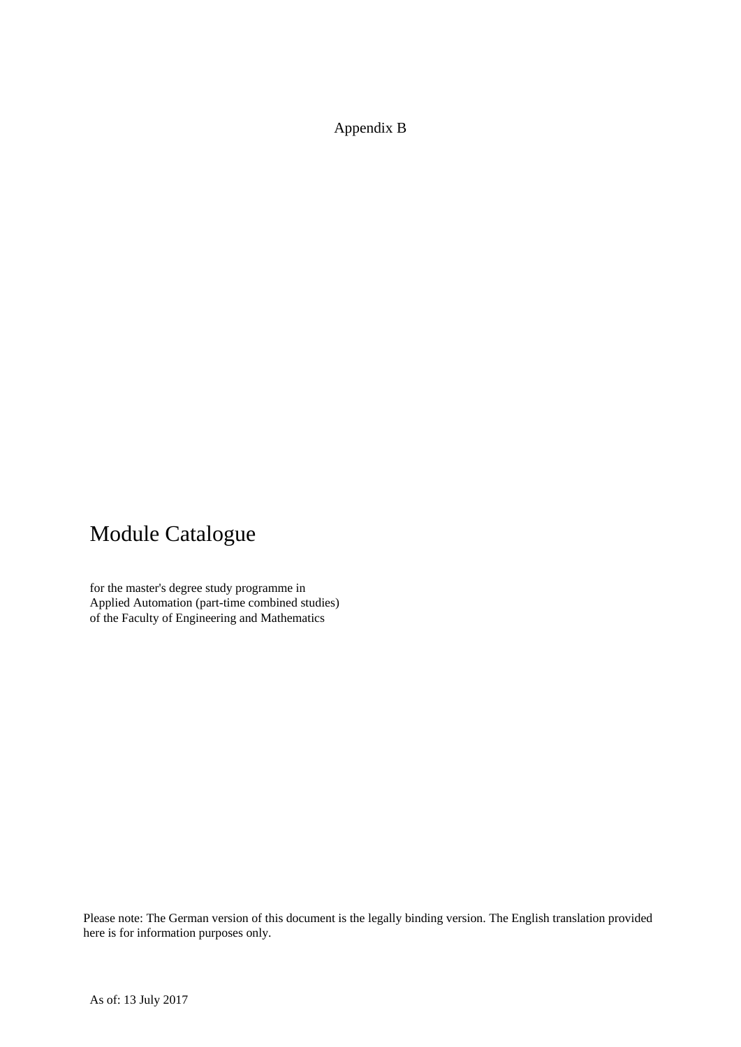Appendix B

# Module Catalogue

for the master's degree study programme in Applied Automation (part-time combined studies) of the Faculty of Engineering and Mathematics

Please note: The German version of this document is the legally binding version. The English translation provided here is for information purposes only.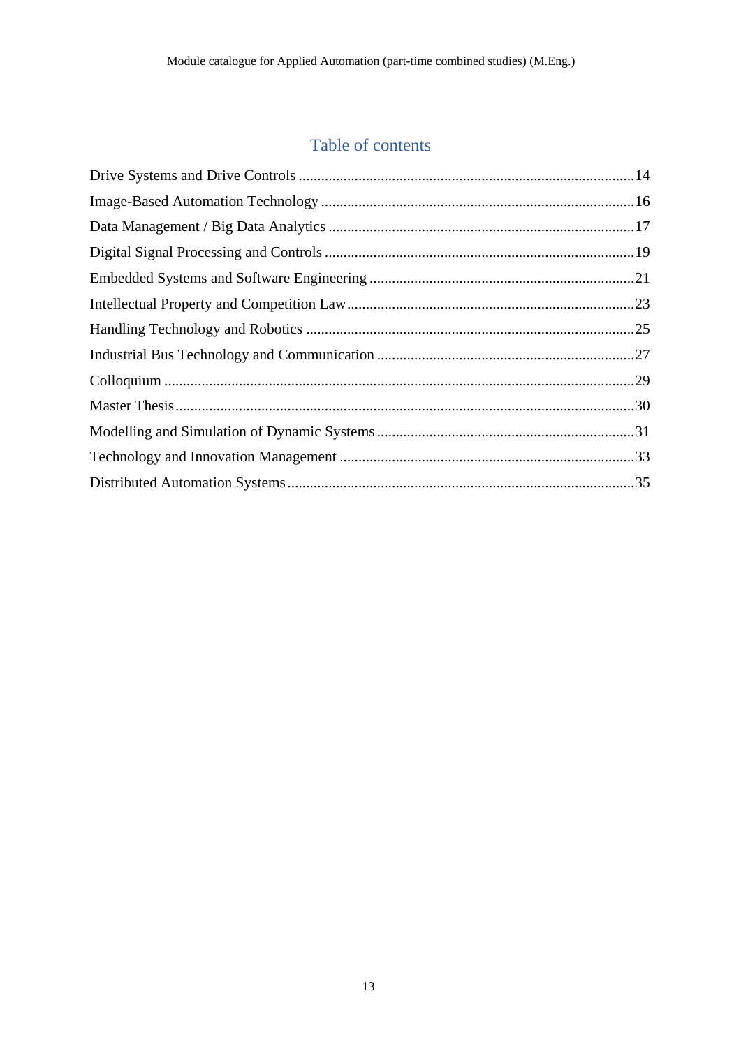# Table of contents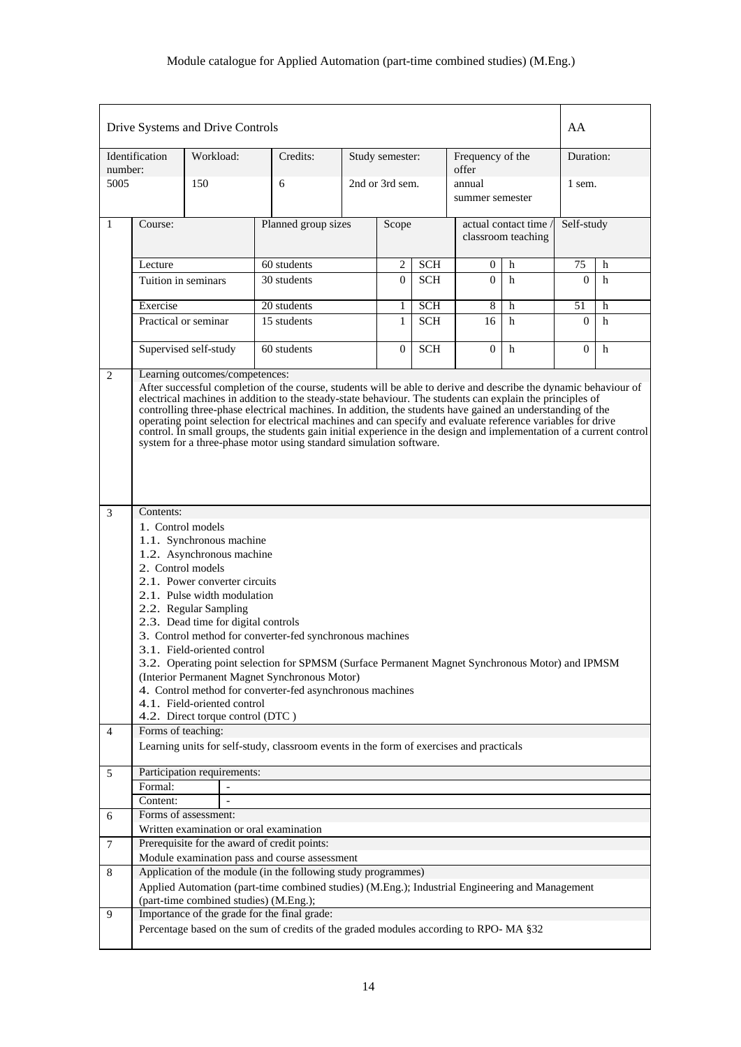|                | Drive Systems and Drive Controls                                                                                                                                                                                                                                                                                                                                                                                                                                                                                                                                                                                                                                                                 |           |  |                                                                                                                                                                  |                 |                 |                  |                                           |    | AA             |   |  |
|----------------|--------------------------------------------------------------------------------------------------------------------------------------------------------------------------------------------------------------------------------------------------------------------------------------------------------------------------------------------------------------------------------------------------------------------------------------------------------------------------------------------------------------------------------------------------------------------------------------------------------------------------------------------------------------------------------------------------|-----------|--|------------------------------------------------------------------------------------------------------------------------------------------------------------------|-----------------|-----------------|------------------|-------------------------------------------|----|----------------|---|--|
| number:        | Identification                                                                                                                                                                                                                                                                                                                                                                                                                                                                                                                                                                                                                                                                                   | Workload: |  | Credits:                                                                                                                                                         |                 | Study semester: |                  | Frequency of the<br>offer                 |    | Duration:      |   |  |
| 5005           |                                                                                                                                                                                                                                                                                                                                                                                                                                                                                                                                                                                                                                                                                                  | 150       |  | 6                                                                                                                                                                | 2nd or 3rd sem. |                 |                  | annual<br>summer semester                 |    | 1 sem.         |   |  |
| 1              | Course:                                                                                                                                                                                                                                                                                                                                                                                                                                                                                                                                                                                                                                                                                          |           |  | Planned group sizes                                                                                                                                              |                 | Scope           |                  | actual contact time<br>classroom teaching |    | Self-study     |   |  |
|                | Lecture                                                                                                                                                                                                                                                                                                                                                                                                                                                                                                                                                                                                                                                                                          |           |  | 60 students                                                                                                                                                      | 2               | <b>SCH</b>      | $\boldsymbol{0}$ | h                                         | 75 | h              |   |  |
|                | Tuition in seminars                                                                                                                                                                                                                                                                                                                                                                                                                                                                                                                                                                                                                                                                              |           |  | 30 students                                                                                                                                                      |                 | $\overline{0}$  | <b>SCH</b>       | $\Omega$                                  | h  | $\theta$       | h |  |
|                | Exercise                                                                                                                                                                                                                                                                                                                                                                                                                                                                                                                                                                                                                                                                                         |           |  | 20 students                                                                                                                                                      |                 | 1               | <b>SCH</b>       | 8                                         | h  | 51             | h |  |
|                | Practical or seminar                                                                                                                                                                                                                                                                                                                                                                                                                                                                                                                                                                                                                                                                             |           |  | 15 students                                                                                                                                                      |                 | $\mathbf{1}$    | <b>SCH</b>       | 16                                        | h  | $\Omega$       | h |  |
|                | Supervised self-study                                                                                                                                                                                                                                                                                                                                                                                                                                                                                                                                                                                                                                                                            |           |  | 60 students                                                                                                                                                      |                 | $\overline{0}$  | <b>SCH</b>       | $\overline{0}$                            | h  | $\overline{0}$ | h |  |
|                | Learning outcomes/competences:<br>2<br>After successful completion of the course, students will be able to derive and describe the dynamic behaviour of<br>electrical machines in addition to the steady-state behaviour. The students can explain the principles of<br>controlling three-phase electrical machines. In addition, the students have gained an understanding of the<br>operating point selection for electrical machines and can specify and evaluate reference variables for drive<br>control. In small groups, the students gain initial experience in the design and implementation of a current control<br>system for a three-phase motor using standard simulation software. |           |  |                                                                                                                                                                  |                 |                 |                  |                                           |    |                |   |  |
| 3              | Contents:<br>1. Control models<br>1.1. Synchronous machine<br>1.2. Asynchronous machine<br>2. Control models<br>2.1. Power converter circuits<br>2.1. Pulse width modulation<br>2.2. Regular Sampling<br>2.3. Dead time for digital controls<br>3. Control method for converter-fed synchronous machines<br>3.1. Field-oriented control<br>3.2. Operating point selection for SPMSM (Surface Permanent Magnet Synchronous Motor) and IPMSM<br>(Interior Permanent Magnet Synchronous Motor)<br>4. Control method for converter-fed asynchronous machines<br>4.1. Field-oriented control                                                                                                          |           |  |                                                                                                                                                                  |                 |                 |                  |                                           |    |                |   |  |
| $\overline{4}$ | Forms of teaching:                                                                                                                                                                                                                                                                                                                                                                                                                                                                                                                                                                                                                                                                               |           |  |                                                                                                                                                                  |                 |                 |                  |                                           |    |                |   |  |
|                |                                                                                                                                                                                                                                                                                                                                                                                                                                                                                                                                                                                                                                                                                                  |           |  | Learning units for self-study, classroom events in the form of exercises and practicals                                                                          |                 |                 |                  |                                           |    |                |   |  |
| 5              | Participation requirements:                                                                                                                                                                                                                                                                                                                                                                                                                                                                                                                                                                                                                                                                      |           |  |                                                                                                                                                                  |                 |                 |                  |                                           |    |                |   |  |
|                | Formal:                                                                                                                                                                                                                                                                                                                                                                                                                                                                                                                                                                                                                                                                                          |           |  |                                                                                                                                                                  |                 |                 |                  |                                           |    |                |   |  |
|                | Content:                                                                                                                                                                                                                                                                                                                                                                                                                                                                                                                                                                                                                                                                                         |           |  |                                                                                                                                                                  |                 |                 |                  |                                           |    |                |   |  |
| 6              | Forms of assessment:                                                                                                                                                                                                                                                                                                                                                                                                                                                                                                                                                                                                                                                                             |           |  |                                                                                                                                                                  |                 |                 |                  |                                           |    |                |   |  |
|                |                                                                                                                                                                                                                                                                                                                                                                                                                                                                                                                                                                                                                                                                                                  |           |  | Written examination or oral examination                                                                                                                          |                 |                 |                  |                                           |    |                |   |  |
| $\tau$         |                                                                                                                                                                                                                                                                                                                                                                                                                                                                                                                                                                                                                                                                                                  |           |  | Prerequisite for the award of credit points:                                                                                                                     |                 |                 |                  |                                           |    |                |   |  |
|                |                                                                                                                                                                                                                                                                                                                                                                                                                                                                                                                                                                                                                                                                                                  |           |  | Module examination pass and course assessment                                                                                                                    |                 |                 |                  |                                           |    |                |   |  |
| 8              |                                                                                                                                                                                                                                                                                                                                                                                                                                                                                                                                                                                                                                                                                                  |           |  | Application of the module (in the following study programmes)<br>Applied Automation (part-time combined studies) (M.Eng.); Industrial Engineering and Management |                 |                 |                  |                                           |    |                |   |  |
|                |                                                                                                                                                                                                                                                                                                                                                                                                                                                                                                                                                                                                                                                                                                  |           |  | (part-time combined studies) (M.Eng.);                                                                                                                           |                 |                 |                  |                                           |    |                |   |  |
| 9              |                                                                                                                                                                                                                                                                                                                                                                                                                                                                                                                                                                                                                                                                                                  |           |  | Importance of the grade for the final grade:                                                                                                                     |                 |                 |                  |                                           |    |                |   |  |
|                |                                                                                                                                                                                                                                                                                                                                                                                                                                                                                                                                                                                                                                                                                                  |           |  | Percentage based on the sum of credits of the graded modules according to RPO-MA §32                                                                             |                 |                 |                  |                                           |    |                |   |  |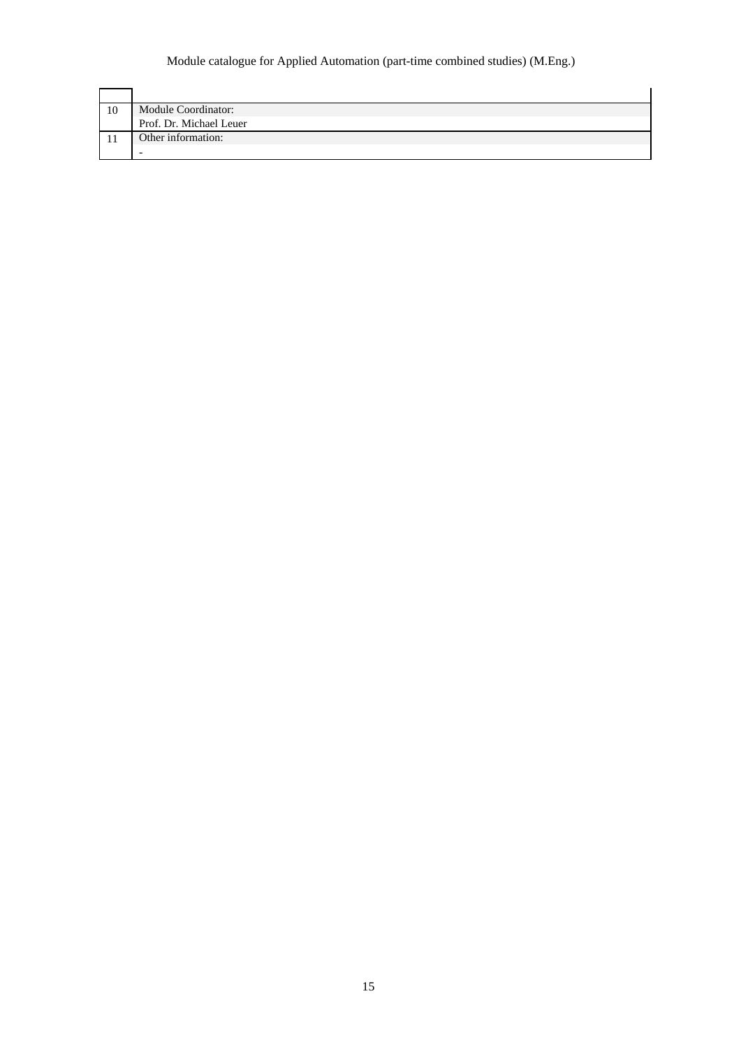| 10 | Module Coordinator:     |
|----|-------------------------|
|    | Prof. Dr. Michael Leuer |
|    | Other information:      |
|    |                         |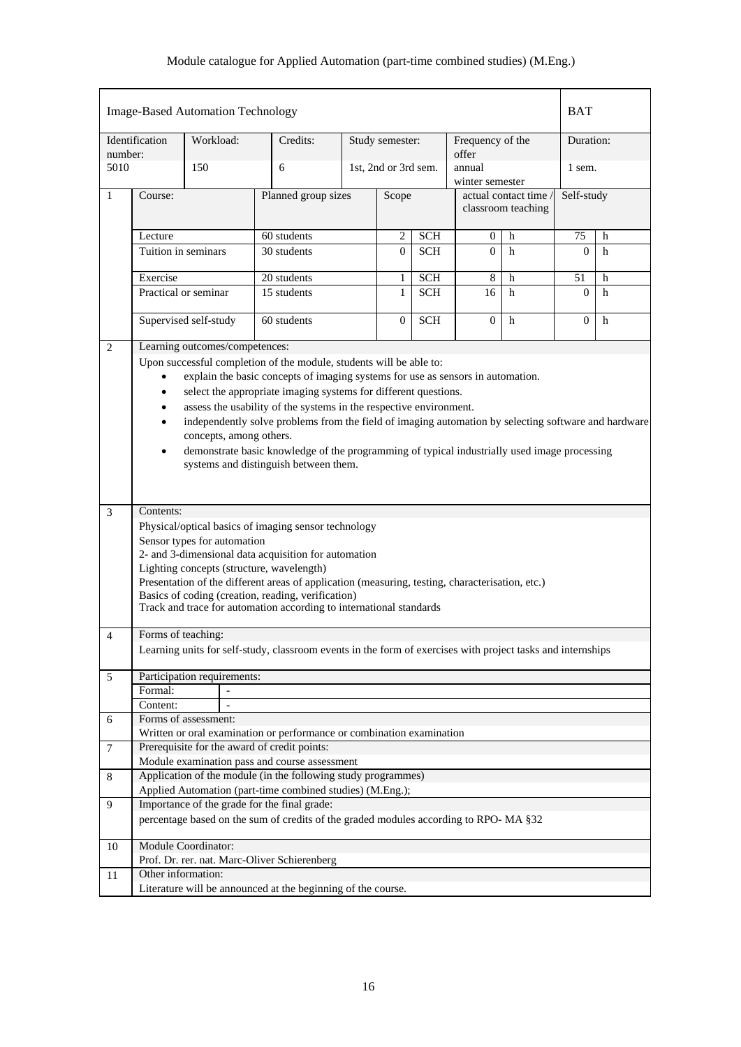|                | <b>Image-Based Automation Technology</b> |           |                                |                                                                                                                                              |   |                      |                |                              |                     | <b>BAT</b> |   |  |
|----------------|------------------------------------------|-----------|--------------------------------|----------------------------------------------------------------------------------------------------------------------------------------------|---|----------------------|----------------|------------------------------|---------------------|------------|---|--|
|                | Identification                           | Workload: |                                | Credits:                                                                                                                                     |   | Study semester:      |                | Frequency of the             |                     | Duration:  |   |  |
| number:        |                                          |           |                                |                                                                                                                                              |   |                      |                | offer                        |                     |            |   |  |
| 5010           |                                          | 150       |                                | 6                                                                                                                                            |   | 1st, 2nd or 3rd sem. |                | annual<br>winter semester    |                     | 1 sem.     |   |  |
| 1              | Course:                                  |           |                                | Planned group sizes                                                                                                                          |   | Scope                |                |                              | actual contact time | Self-study |   |  |
|                |                                          |           |                                |                                                                                                                                              |   |                      |                |                              | classroom teaching  |            |   |  |
|                |                                          |           |                                | 60 students                                                                                                                                  |   | $\mathbf{2}$         | <b>SCH</b>     |                              | h                   | 75         | h |  |
|                | Lecture<br>Tuition in seminars           |           |                                | 30 students                                                                                                                                  |   |                      | <b>SCH</b>     | $\boldsymbol{0}$<br>$\Omega$ | h                   | $\Omega$   | h |  |
|                |                                          |           |                                |                                                                                                                                              |   | $\Omega$             |                |                              |                     |            |   |  |
|                | Exercise                                 |           |                                | 20 students                                                                                                                                  |   | 1                    | <b>SCH</b>     | 8                            | h                   | 51         | h |  |
|                | Practical or seminar                     |           |                                | 15 students                                                                                                                                  |   | $\mathbf{1}$         | <b>SCH</b>     | 16                           | h                   | $\Omega$   | h |  |
|                | 60 students<br>Supervised self-study     |           |                                |                                                                                                                                              | 0 | <b>SCH</b>           | $\overline{0}$ | h                            | $\overline{0}$      | h          |   |  |
| $\overline{2}$ |                                          |           | Learning outcomes/competences: |                                                                                                                                              |   |                      |                |                              |                     |            |   |  |
|                |                                          |           |                                | Upon successful completion of the module, students will be able to:                                                                          |   |                      |                |                              |                     |            |   |  |
|                |                                          |           |                                | explain the basic concepts of imaging systems for use as sensors in automation.                                                              |   |                      |                |                              |                     |            |   |  |
|                | $\bullet$                                |           |                                | select the appropriate imaging systems for different questions.                                                                              |   |                      |                |                              |                     |            |   |  |
|                | $\bullet$                                |           |                                | assess the usability of the systems in the respective environment.                                                                           |   |                      |                |                              |                     |            |   |  |
|                |                                          |           |                                | independently solve problems from the field of imaging automation by selecting software and hardware                                         |   |                      |                |                              |                     |            |   |  |
|                |                                          |           | concepts, among others.        |                                                                                                                                              |   |                      |                |                              |                     |            |   |  |
|                | $\bullet$                                |           |                                | demonstrate basic knowledge of the programming of typical industrially used image processing<br>systems and distinguish between them.        |   |                      |                |                              |                     |            |   |  |
|                |                                          |           |                                |                                                                                                                                              |   |                      |                |                              |                     |            |   |  |
|                |                                          |           |                                |                                                                                                                                              |   |                      |                |                              |                     |            |   |  |
| 3              | Contents:                                |           |                                |                                                                                                                                              |   |                      |                |                              |                     |            |   |  |
|                |                                          |           |                                | Physical/optical basics of imaging sensor technology                                                                                         |   |                      |                |                              |                     |            |   |  |
|                |                                          |           | Sensor types for automation    |                                                                                                                                              |   |                      |                |                              |                     |            |   |  |
|                |                                          |           |                                | 2- and 3-dimensional data acquisition for automation                                                                                         |   |                      |                |                              |                     |            |   |  |
|                |                                          |           |                                | Lighting concepts (structure, wavelength)<br>Presentation of the different areas of application (measuring, testing, characterisation, etc.) |   |                      |                |                              |                     |            |   |  |
|                |                                          |           |                                | Basics of coding (creation, reading, verification)                                                                                           |   |                      |                |                              |                     |            |   |  |
|                |                                          |           |                                | Track and trace for automation according to international standards                                                                          |   |                      |                |                              |                     |            |   |  |
|                |                                          |           |                                |                                                                                                                                              |   |                      |                |                              |                     |            |   |  |
| $\overline{4}$ | Forms of teaching:                       |           |                                | Learning units for self-study, classroom events in the form of exercises with project tasks and internships                                  |   |                      |                |                              |                     |            |   |  |
|                |                                          |           |                                |                                                                                                                                              |   |                      |                |                              |                     |            |   |  |
| 5              | Participation requirements:              |           |                                |                                                                                                                                              |   |                      |                |                              |                     |            |   |  |
|                | Formal:                                  |           | $\blacksquare$                 |                                                                                                                                              |   |                      |                |                              |                     |            |   |  |
|                | Content:<br>Forms of assessment:         |           |                                |                                                                                                                                              |   |                      |                |                              |                     |            |   |  |
| 6              |                                          |           |                                | Written or oral examination or performance or combination examination                                                                        |   |                      |                |                              |                     |            |   |  |
| $\overline{7}$ |                                          |           |                                | Prerequisite for the award of credit points:                                                                                                 |   |                      |                |                              |                     |            |   |  |
|                |                                          |           |                                | Module examination pass and course assessment                                                                                                |   |                      |                |                              |                     |            |   |  |
| 8              |                                          |           |                                | Application of the module (in the following study programmes)                                                                                |   |                      |                |                              |                     |            |   |  |
|                |                                          |           |                                | Applied Automation (part-time combined studies) (M.Eng.);                                                                                    |   |                      |                |                              |                     |            |   |  |
| 9              |                                          |           |                                | Importance of the grade for the final grade:                                                                                                 |   |                      |                |                              |                     |            |   |  |
|                |                                          |           |                                | percentage based on the sum of credits of the graded modules according to RPO-MA §32                                                         |   |                      |                |                              |                     |            |   |  |
| 10             | <b>Module Coordinator:</b>               |           |                                |                                                                                                                                              |   |                      |                |                              |                     |            |   |  |
|                |                                          |           |                                | Prof. Dr. rer. nat. Marc-Oliver Schierenberg                                                                                                 |   |                      |                |                              |                     |            |   |  |
| 11             | Other information:                       |           |                                |                                                                                                                                              |   |                      |                |                              |                     |            |   |  |
|                |                                          |           |                                | Literature will be announced at the beginning of the course.                                                                                 |   |                      |                |                              |                     |            |   |  |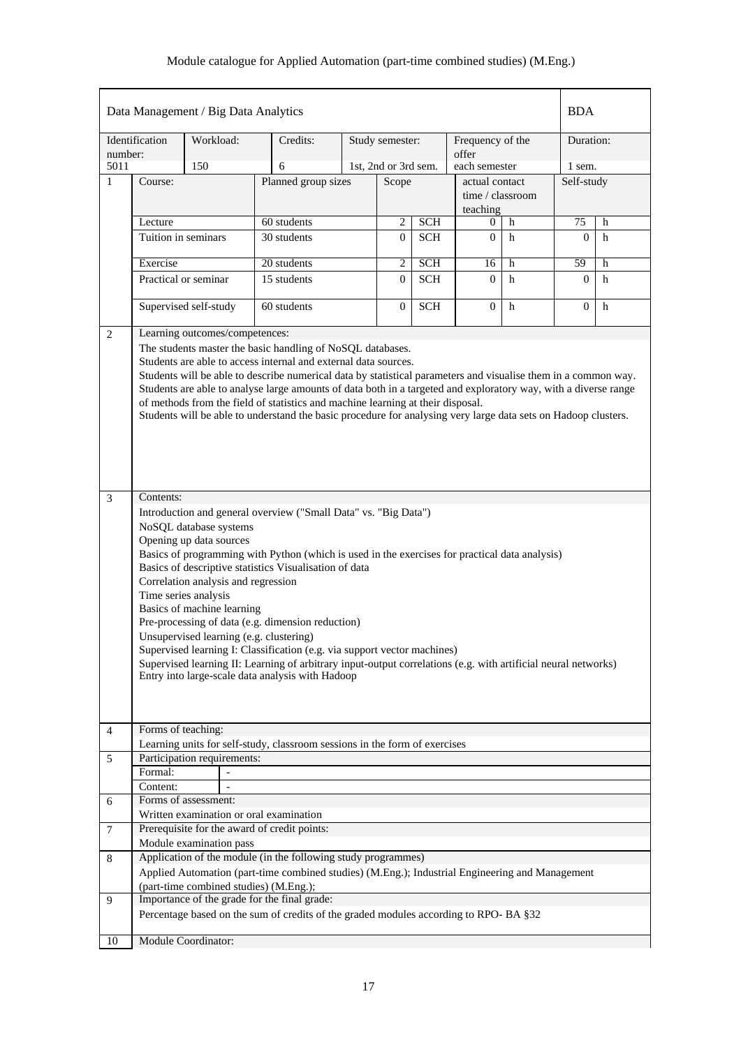|                |                                                                                                                                                                                                                                                                                                                                                                                                                                                                                                                                                                                                                                                                                                                                                                                                                                                                                                                                                                                                                                                                                                                                                                                                                                                                                                                         | Data Management / Big Data Analytics   |  |                                                                                                 |  |                      |            |                           |             | <b>BDA</b>     |             |  |
|----------------|-------------------------------------------------------------------------------------------------------------------------------------------------------------------------------------------------------------------------------------------------------------------------------------------------------------------------------------------------------------------------------------------------------------------------------------------------------------------------------------------------------------------------------------------------------------------------------------------------------------------------------------------------------------------------------------------------------------------------------------------------------------------------------------------------------------------------------------------------------------------------------------------------------------------------------------------------------------------------------------------------------------------------------------------------------------------------------------------------------------------------------------------------------------------------------------------------------------------------------------------------------------------------------------------------------------------------|----------------------------------------|--|-------------------------------------------------------------------------------------------------|--|----------------------|------------|---------------------------|-------------|----------------|-------------|--|
| number:        | Identification                                                                                                                                                                                                                                                                                                                                                                                                                                                                                                                                                                                                                                                                                                                                                                                                                                                                                                                                                                                                                                                                                                                                                                                                                                                                                                          | Workload:                              |  | Credits:                                                                                        |  | Study semester:      |            | Frequency of the<br>offer |             | Duration:      |             |  |
| 5011           |                                                                                                                                                                                                                                                                                                                                                                                                                                                                                                                                                                                                                                                                                                                                                                                                                                                                                                                                                                                                                                                                                                                                                                                                                                                                                                                         | 150                                    |  | 6                                                                                               |  | 1st, 2nd or 3rd sem. |            | each semester             |             | 1 sem.         |             |  |
| $\mathbf{1}$   | Course:                                                                                                                                                                                                                                                                                                                                                                                                                                                                                                                                                                                                                                                                                                                                                                                                                                                                                                                                                                                                                                                                                                                                                                                                                                                                                                                 |                                        |  | Planned group sizes                                                                             |  | Scope                |            | actual contact            |             | Self-study     |             |  |
|                |                                                                                                                                                                                                                                                                                                                                                                                                                                                                                                                                                                                                                                                                                                                                                                                                                                                                                                                                                                                                                                                                                                                                                                                                                                                                                                                         |                                        |  |                                                                                                 |  |                      |            | time / classroom          |             |                |             |  |
|                |                                                                                                                                                                                                                                                                                                                                                                                                                                                                                                                                                                                                                                                                                                                                                                                                                                                                                                                                                                                                                                                                                                                                                                                                                                                                                                                         |                                        |  |                                                                                                 |  |                      |            | teaching                  |             |                |             |  |
|                | Lecture                                                                                                                                                                                                                                                                                                                                                                                                                                                                                                                                                                                                                                                                                                                                                                                                                                                                                                                                                                                                                                                                                                                                                                                                                                                                                                                 |                                        |  | 60 students                                                                                     |  | $\overline{2}$       | SCH        | 0                         | h           | 75             | h           |  |
|                | Tuition in seminars                                                                                                                                                                                                                                                                                                                                                                                                                                                                                                                                                                                                                                                                                                                                                                                                                                                                                                                                                                                                                                                                                                                                                                                                                                                                                                     |                                        |  | 30 students                                                                                     |  | $\overline{0}$       | <b>SCH</b> | $\overline{0}$            | h           | $\Omega$       | h           |  |
|                | Exercise                                                                                                                                                                                                                                                                                                                                                                                                                                                                                                                                                                                                                                                                                                                                                                                                                                                                                                                                                                                                                                                                                                                                                                                                                                                                                                                |                                        |  | 20 students                                                                                     |  | 2                    | <b>SCH</b> | 16                        | h           | 59             | h           |  |
|                |                                                                                                                                                                                                                                                                                                                                                                                                                                                                                                                                                                                                                                                                                                                                                                                                                                                                                                                                                                                                                                                                                                                                                                                                                                                                                                                         | Practical or seminar                   |  | 15 students                                                                                     |  | $\Omega$             | <b>SCH</b> | $\theta$                  | h           | $\mathbf{0}$   | h           |  |
|                |                                                                                                                                                                                                                                                                                                                                                                                                                                                                                                                                                                                                                                                                                                                                                                                                                                                                                                                                                                                                                                                                                                                                                                                                                                                                                                                         |                                        |  |                                                                                                 |  |                      |            |                           |             |                |             |  |
|                |                                                                                                                                                                                                                                                                                                                                                                                                                                                                                                                                                                                                                                                                                                                                                                                                                                                                                                                                                                                                                                                                                                                                                                                                                                                                                                                         | Supervised self-study                  |  | 60 students                                                                                     |  | $\overline{0}$       | <b>SCH</b> | $\theta$                  | $\mathbf h$ | $\overline{0}$ | $\mathbf h$ |  |
| 2              |                                                                                                                                                                                                                                                                                                                                                                                                                                                                                                                                                                                                                                                                                                                                                                                                                                                                                                                                                                                                                                                                                                                                                                                                                                                                                                                         | Learning outcomes/competences:         |  |                                                                                                 |  |                      |            |                           |             |                |             |  |
| 3              | The students master the basic handling of NoSQL databases.<br>Students are able to access internal and external data sources.<br>Students will be able to describe numerical data by statistical parameters and visualise them in a common way.<br>Students are able to analyse large amounts of data both in a targeted and exploratory way, with a diverse range<br>of methods from the field of statistics and machine learning at their disposal.<br>Students will be able to understand the basic procedure for analysing very large data sets on Hadoop clusters.<br>Contents:<br>Introduction and general overview ("Small Data" vs. "Big Data")<br>NoSQL database systems<br>Opening up data sources<br>Basics of programming with Python (which is used in the exercises for practical data analysis)<br>Basics of descriptive statistics Visualisation of data<br>Correlation analysis and regression<br>Time series analysis<br>Basics of machine learning<br>Pre-processing of data (e.g. dimension reduction)<br>Unsupervised learning (e.g. clustering)<br>Supervised learning I: Classification (e.g. via support vector machines)<br>Supervised learning II: Learning of arbitrary input-output correlations (e.g. with artificial neural networks)<br>Entry into large-scale data analysis with Hadoop |                                        |  |                                                                                                 |  |                      |            |                           |             |                |             |  |
| $\overline{4}$ | Forms of teaching:                                                                                                                                                                                                                                                                                                                                                                                                                                                                                                                                                                                                                                                                                                                                                                                                                                                                                                                                                                                                                                                                                                                                                                                                                                                                                                      |                                        |  | Learning units for self-study, classroom sessions in the form of exercises                      |  |                      |            |                           |             |                |             |  |
| 5              |                                                                                                                                                                                                                                                                                                                                                                                                                                                                                                                                                                                                                                                                                                                                                                                                                                                                                                                                                                                                                                                                                                                                                                                                                                                                                                                         | Participation requirements:            |  |                                                                                                 |  |                      |            |                           |             |                |             |  |
|                | Formal:                                                                                                                                                                                                                                                                                                                                                                                                                                                                                                                                                                                                                                                                                                                                                                                                                                                                                                                                                                                                                                                                                                                                                                                                                                                                                                                 |                                        |  |                                                                                                 |  |                      |            |                           |             |                |             |  |
|                | Content:                                                                                                                                                                                                                                                                                                                                                                                                                                                                                                                                                                                                                                                                                                                                                                                                                                                                                                                                                                                                                                                                                                                                                                                                                                                                                                                |                                        |  |                                                                                                 |  |                      |            |                           |             |                |             |  |
| 6              |                                                                                                                                                                                                                                                                                                                                                                                                                                                                                                                                                                                                                                                                                                                                                                                                                                                                                                                                                                                                                                                                                                                                                                                                                                                                                                                         | Forms of assessment:                   |  |                                                                                                 |  |                      |            |                           |             |                |             |  |
|                |                                                                                                                                                                                                                                                                                                                                                                                                                                                                                                                                                                                                                                                                                                                                                                                                                                                                                                                                                                                                                                                                                                                                                                                                                                                                                                                         |                                        |  | Written examination or oral examination                                                         |  |                      |            |                           |             |                |             |  |
| 7              |                                                                                                                                                                                                                                                                                                                                                                                                                                                                                                                                                                                                                                                                                                                                                                                                                                                                                                                                                                                                                                                                                                                                                                                                                                                                                                                         | Module examination pass                |  | Prerequisite for the award of credit points:                                                    |  |                      |            |                           |             |                |             |  |
| 8              |                                                                                                                                                                                                                                                                                                                                                                                                                                                                                                                                                                                                                                                                                                                                                                                                                                                                                                                                                                                                                                                                                                                                                                                                                                                                                                                         |                                        |  | Application of the module (in the following study programmes)                                   |  |                      |            |                           |             |                |             |  |
|                |                                                                                                                                                                                                                                                                                                                                                                                                                                                                                                                                                                                                                                                                                                                                                                                                                                                                                                                                                                                                                                                                                                                                                                                                                                                                                                                         |                                        |  | Applied Automation (part-time combined studies) (M.Eng.); Industrial Engineering and Management |  |                      |            |                           |             |                |             |  |
| 9              |                                                                                                                                                                                                                                                                                                                                                                                                                                                                                                                                                                                                                                                                                                                                                                                                                                                                                                                                                                                                                                                                                                                                                                                                                                                                                                                         | (part-time combined studies) (M.Eng.); |  | Importance of the grade for the final grade:                                                    |  |                      |            |                           |             |                |             |  |
|                |                                                                                                                                                                                                                                                                                                                                                                                                                                                                                                                                                                                                                                                                                                                                                                                                                                                                                                                                                                                                                                                                                                                                                                                                                                                                                                                         |                                        |  | Percentage based on the sum of credits of the graded modules according to RPO-BA §32            |  |                      |            |                           |             |                |             |  |
| 10             |                                                                                                                                                                                                                                                                                                                                                                                                                                                                                                                                                                                                                                                                                                                                                                                                                                                                                                                                                                                                                                                                                                                                                                                                                                                                                                                         | Module Coordinator:                    |  |                                                                                                 |  |                      |            |                           |             |                |             |  |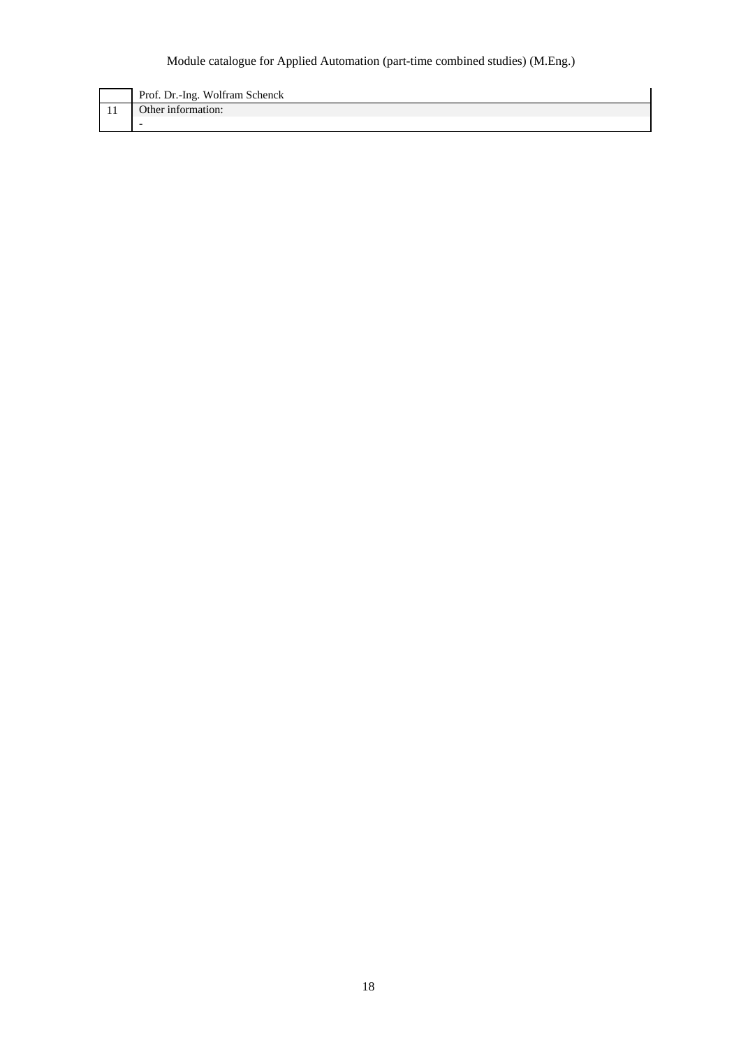| Prof. Dr.-Ing. Wolfram Schenck |
|--------------------------------|
| Other information:             |
|                                |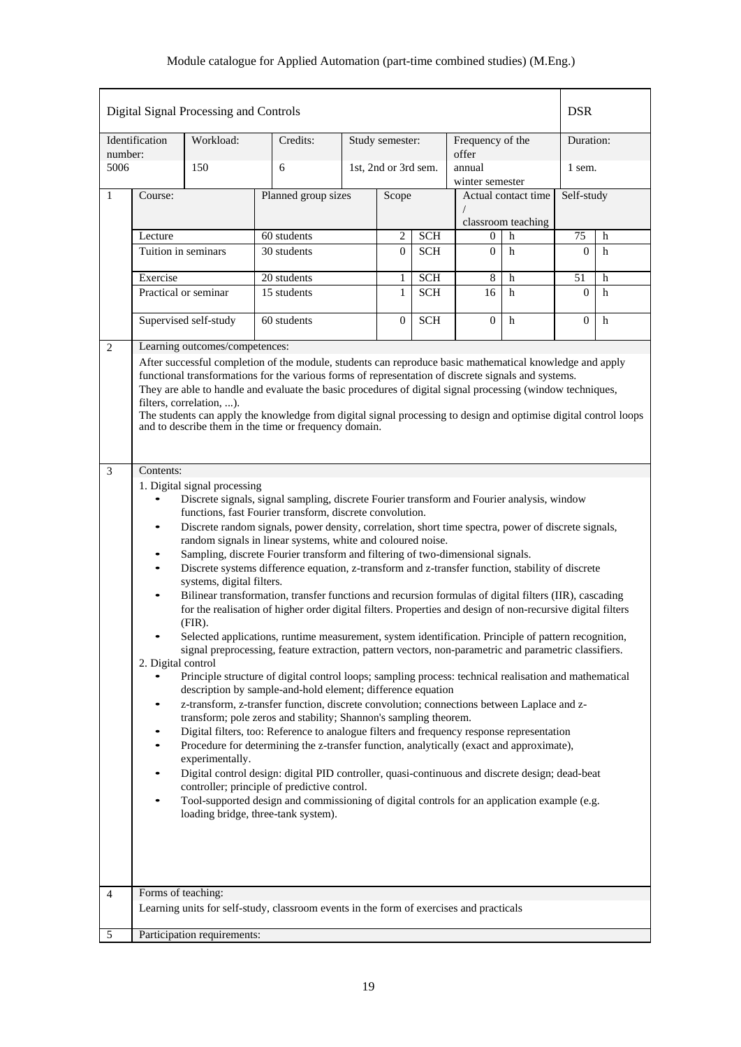| Digital Signal Processing and Controls | <b>DSR</b>                       |                                |                                                                                                                                                                                       |                     |                              |                          |                           |                     |                    |        |
|----------------------------------------|----------------------------------|--------------------------------|---------------------------------------------------------------------------------------------------------------------------------------------------------------------------------------|---------------------|------------------------------|--------------------------|---------------------------|---------------------|--------------------|--------|
| number:                                | Identification                   | Workload:                      | Credits:                                                                                                                                                                              |                     | Study semester:              |                          | Frequency of the<br>offer |                     | Duration:          |        |
| 5006                                   |                                  | 150                            | 6                                                                                                                                                                                     |                     | 1st, 2nd or 3rd sem.         |                          | annual<br>winter semester |                     | 1 sem.             |        |
| 1                                      | Course:                          |                                |                                                                                                                                                                                       | Planned group sizes |                              | Scope                    |                           | Actual contact time | Self-study         |        |
|                                        |                                  |                                |                                                                                                                                                                                       |                     |                              |                          |                           | classroom teaching  |                    |        |
|                                        | Lecture<br>Tuition in seminars   |                                | $60$ students<br>30 students                                                                                                                                                          |                     | 2<br>$\overline{0}$          | <b>SCH</b><br><b>SCH</b> | 0<br>$\Omega$             | h<br>h              | 75<br>$\mathbf{0}$ | h<br>h |
|                                        |                                  |                                |                                                                                                                                                                                       |                     |                              |                          |                           |                     |                    |        |
|                                        | Exercise<br>Practical or seminar |                                | 20 students<br>15 students                                                                                                                                                            |                     | $\mathbf{1}$<br>$\mathbf{1}$ | <b>SCH</b><br><b>SCH</b> | 8<br>16                   | h<br>$\mathbf h$    | 51<br>$\mathbf{0}$ | h<br>h |
|                                        |                                  |                                |                                                                                                                                                                                       |                     |                              |                          |                           |                     |                    |        |
|                                        |                                  | Supervised self-study          | 60 students                                                                                                                                                                           |                     | $\overline{0}$               | <b>SCH</b>               | $\overline{0}$            | h                   | $\overline{0}$     | h      |
| $\overline{2}$                         |                                  | Learning outcomes/competences: | After successful completion of the module, students can reproduce basic mathematical knowledge and apply                                                                              |                     |                              |                          |                           |                     |                    |        |
|                                        |                                  |                                | functional transformations for the various forms of representation of discrete signals and systems.                                                                                   |                     |                              |                          |                           |                     |                    |        |
|                                        |                                  | filters, correlation, ).       | They are able to handle and evaluate the basic procedures of digital signal processing (window techniques,                                                                            |                     |                              |                          |                           |                     |                    |        |
|                                        |                                  |                                | The students can apply the knowledge from digital signal processing to design and optimise digital control loops<br>and to describe them in the time or frequency domain.             |                     |                              |                          |                           |                     |                    |        |
|                                        |                                  |                                |                                                                                                                                                                                       |                     |                              |                          |                           |                     |                    |        |
| 3                                      | Contents:                        |                                |                                                                                                                                                                                       |                     |                              |                          |                           |                     |                    |        |
|                                        |                                  | 1. Digital signal processing   |                                                                                                                                                                                       |                     |                              |                          |                           |                     |                    |        |
|                                        | $\bullet$                        |                                | Discrete signals, signal sampling, discrete Fourier transform and Fourier analysis, window<br>functions, fast Fourier transform, discrete convolution.                                |                     |                              |                          |                           |                     |                    |        |
|                                        | $\bullet$                        |                                | Discrete random signals, power density, correlation, short time spectra, power of discrete signals,                                                                                   |                     |                              |                          |                           |                     |                    |        |
|                                        |                                  |                                | random signals in linear systems, white and coloured noise.<br>Sampling, discrete Fourier transform and filtering of two-dimensional signals.                                         |                     |                              |                          |                           |                     |                    |        |
|                                        | $\bullet$                        |                                | Discrete systems difference equation, z-transform and z-transfer function, stability of discrete                                                                                      |                     |                              |                          |                           |                     |                    |        |
|                                        | $\bullet$                        | systems, digital filters.      | Bilinear transformation, transfer functions and recursion formulas of digital filters (IIR), cascading                                                                                |                     |                              |                          |                           |                     |                    |        |
|                                        |                                  |                                | for the realisation of higher order digital filters. Properties and design of non-recursive digital filters                                                                           |                     |                              |                          |                           |                     |                    |        |
|                                        |                                  | $(FIR)$ .                      | Selected applications, runtime measurement, system identification. Principle of pattern recognition,                                                                                  |                     |                              |                          |                           |                     |                    |        |
|                                        | 2. Digital control               |                                | signal preprocessing, feature extraction, pattern vectors, non-parametric and parametric classifiers.                                                                                 |                     |                              |                          |                           |                     |                    |        |
|                                        |                                  |                                | Principle structure of digital control loops; sampling process: technical realisation and mathematical                                                                                |                     |                              |                          |                           |                     |                    |        |
|                                        |                                  |                                | description by sample-and-hold element; difference equation<br>z-transform, z-transfer function, discrete convolution; connections between Laplace and z-                             |                     |                              |                          |                           |                     |                    |        |
|                                        |                                  |                                | transform; pole zeros and stability; Shannon's sampling theorem.                                                                                                                      |                     |                              |                          |                           |                     |                    |        |
|                                        | $\bullet$                        |                                | Digital filters, too: Reference to analogue filters and frequency response representation<br>Procedure for determining the z-transfer function, analytically (exact and approximate), |                     |                              |                          |                           |                     |                    |        |
|                                        |                                  | experimentally.                |                                                                                                                                                                                       |                     |                              |                          |                           |                     |                    |        |
|                                        |                                  |                                | Digital control design: digital PID controller, quasi-continuous and discrete design; dead-beat<br>controller; principle of predictive control.                                       |                     |                              |                          |                           |                     |                    |        |
|                                        |                                  |                                | Tool-supported design and commissioning of digital controls for an application example (e.g.<br>loading bridge, three-tank system).                                                   |                     |                              |                          |                           |                     |                    |        |
|                                        |                                  |                                |                                                                                                                                                                                       |                     |                              |                          |                           |                     |                    |        |
|                                        |                                  |                                |                                                                                                                                                                                       |                     |                              |                          |                           |                     |                    |        |
|                                        |                                  |                                |                                                                                                                                                                                       |                     |                              |                          |                           |                     |                    |        |
| $\overline{4}$                         | Forms of teaching:               |                                |                                                                                                                                                                                       |                     |                              |                          |                           |                     |                    |        |
|                                        |                                  |                                | Learning units for self-study, classroom events in the form of exercises and practicals                                                                                               |                     |                              |                          |                           |                     |                    |        |
| 5                                      |                                  | Participation requirements:    |                                                                                                                                                                                       |                     |                              |                          |                           |                     |                    |        |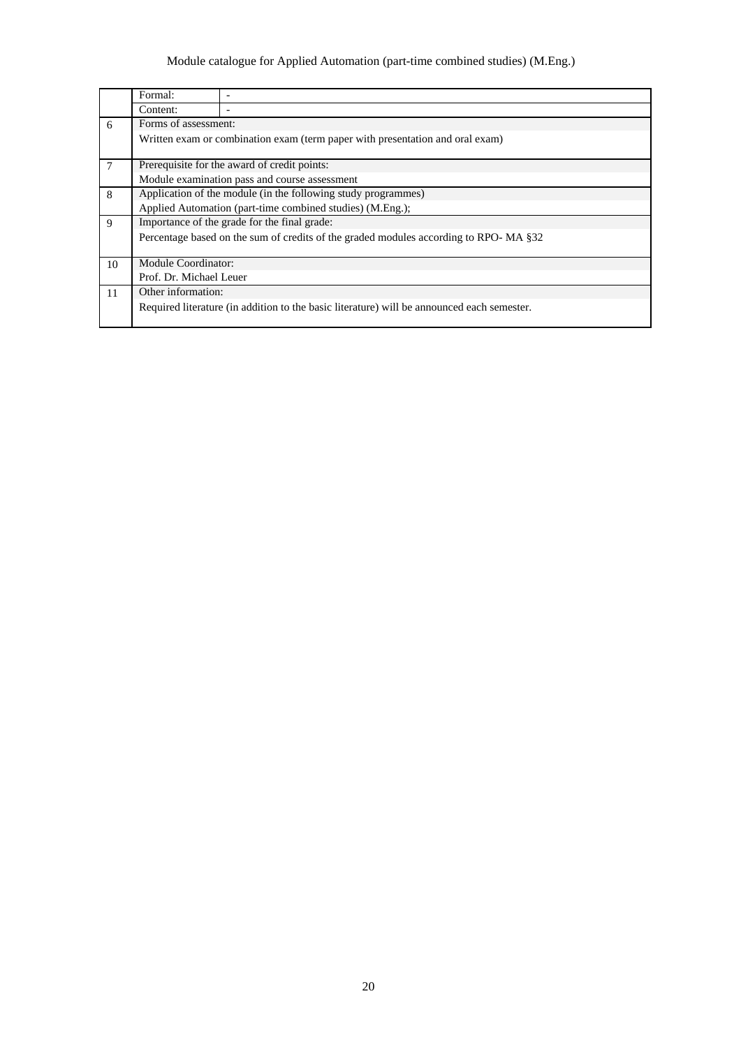|                | Formal:                                                       |                                                                                            |  |  |  |  |  |  |  |  |
|----------------|---------------------------------------------------------------|--------------------------------------------------------------------------------------------|--|--|--|--|--|--|--|--|
|                | Content:                                                      |                                                                                            |  |  |  |  |  |  |  |  |
| 6              | Forms of assessment:                                          |                                                                                            |  |  |  |  |  |  |  |  |
|                |                                                               | Written exam or combination exam (term paper with presentation and oral exam)              |  |  |  |  |  |  |  |  |
| $\overline{7}$ |                                                               | Prerequisite for the award of credit points:                                               |  |  |  |  |  |  |  |  |
|                | Module examination pass and course assessment                 |                                                                                            |  |  |  |  |  |  |  |  |
| 8              | Application of the module (in the following study programmes) |                                                                                            |  |  |  |  |  |  |  |  |
|                |                                                               | Applied Automation (part-time combined studies) (M.Eng.);                                  |  |  |  |  |  |  |  |  |
| 9              |                                                               | Importance of the grade for the final grade:                                               |  |  |  |  |  |  |  |  |
|                |                                                               | Percentage based on the sum of credits of the graded modules according to RPO-MA §32       |  |  |  |  |  |  |  |  |
|                |                                                               |                                                                                            |  |  |  |  |  |  |  |  |
| 10             | Module Coordinator:                                           |                                                                                            |  |  |  |  |  |  |  |  |
|                | Prof. Dr. Michael Leuer                                       |                                                                                            |  |  |  |  |  |  |  |  |
| 11             | Other information:                                            |                                                                                            |  |  |  |  |  |  |  |  |
|                |                                                               | Required literature (in addition to the basic literature) will be announced each semester. |  |  |  |  |  |  |  |  |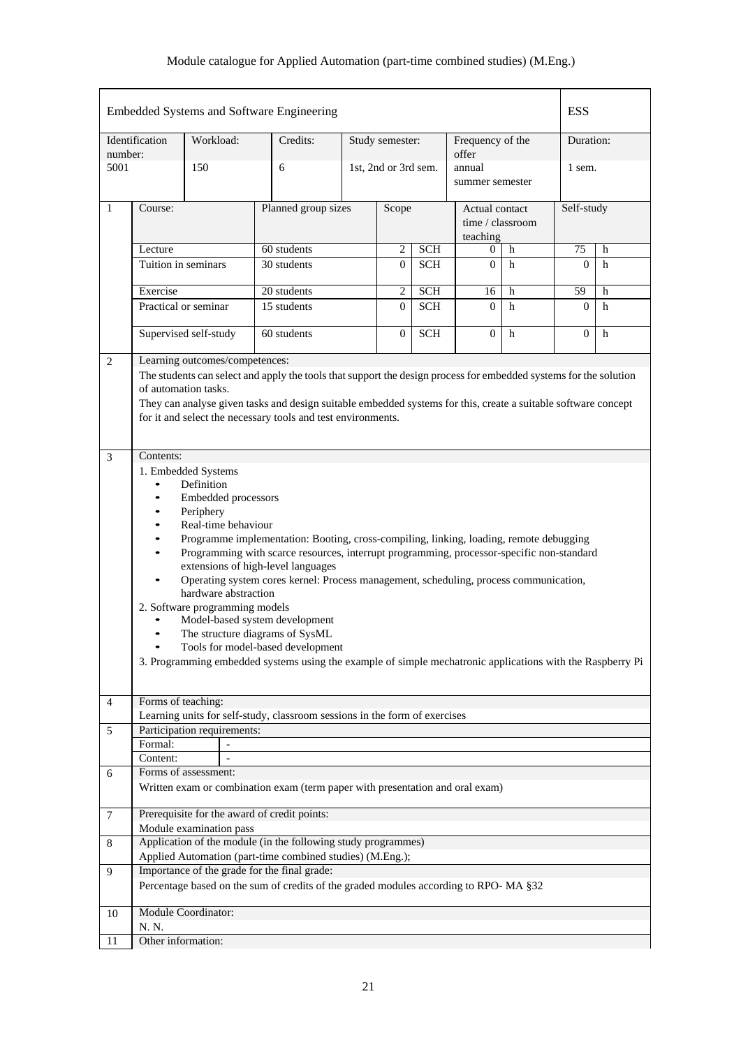|                |                                  |            |                      | Embedded Systems and Software Engineering                                                                         |  |                      |            |                                                |   | <b>ESS</b>   |                    |  |  |  |  |  |  |  |  |
|----------------|----------------------------------|------------|----------------------|-------------------------------------------------------------------------------------------------------------------|--|----------------------|------------|------------------------------------------------|---|--------------|--------------------|--|--|--|--|--|--|--|--|
| number:        | Identification                   | Workload:  |                      | Credits:                                                                                                          |  | Study semester:      |            | Frequency of the<br>offer                      |   | Duration:    |                    |  |  |  |  |  |  |  |  |
| 5001           |                                  | 150        |                      | 6                                                                                                                 |  | 1st, 2nd or 3rd sem. |            | annual<br>summer semester                      |   | 1 sem.       |                    |  |  |  |  |  |  |  |  |
| 1              | Course:                          |            |                      | Planned group sizes                                                                                               |  |                      | Scope      | Actual contact<br>time / classroom<br>teaching |   | Self-study   |                    |  |  |  |  |  |  |  |  |
|                | Lecture                          |            |                      | 60 students                                                                                                       |  | $\overline{2}$       | <b>SCH</b> | 0                                              | h | 75           | h                  |  |  |  |  |  |  |  |  |
|                | Tuition in seminars              |            |                      | 30 students                                                                                                       |  | $\overline{0}$       | <b>SCH</b> | $\mathbf{0}$                                   | h | $\Omega$     | h                  |  |  |  |  |  |  |  |  |
|                | Exercise                         |            |                      | 20 students                                                                                                       |  | $\overline{2}$       | <b>SCH</b> | 16                                             | h | 59           | h                  |  |  |  |  |  |  |  |  |
|                | Practical or seminar             |            |                      | 15 students                                                                                                       |  | $\Omega$             | <b>SCH</b> | $\Omega$                                       | h | $\Omega$     | h                  |  |  |  |  |  |  |  |  |
|                | Supervised self-study            |            |                      | 60 students                                                                                                       |  | $\mathbf{0}$         | <b>SCH</b> | $\overline{0}$                                 | h | $\mathbf{0}$ | h                  |  |  |  |  |  |  |  |  |
| $\mathbf{2}$   | Learning outcomes/competences:   |            |                      |                                                                                                                   |  |                      |            |                                                |   |              |                    |  |  |  |  |  |  |  |  |
|                |                                  |            |                      | The students can select and apply the tools that support the design process for embedded systems for the solution |  |                      |            |                                                |   |              |                    |  |  |  |  |  |  |  |  |
|                | of automation tasks.             |            |                      |                                                                                                                   |  |                      |            |                                                |   |              |                    |  |  |  |  |  |  |  |  |
|                |                                  |            |                      | They can analyse given tasks and design suitable embedded systems for this, create a suitable software concept    |  |                      |            |                                                |   |              |                    |  |  |  |  |  |  |  |  |
|                |                                  |            |                      | for it and select the necessary tools and test environments.                                                      |  |                      |            |                                                |   |              |                    |  |  |  |  |  |  |  |  |
|                |                                  |            |                      |                                                                                                                   |  |                      |            |                                                |   |              |                    |  |  |  |  |  |  |  |  |
| 3              | Contents:                        |            |                      |                                                                                                                   |  |                      |            |                                                |   |              |                    |  |  |  |  |  |  |  |  |
|                | 1. Embedded Systems              |            |                      |                                                                                                                   |  |                      |            |                                                |   |              |                    |  |  |  |  |  |  |  |  |
|                | $\bullet$                        | Definition |                      |                                                                                                                   |  |                      |            |                                                |   |              |                    |  |  |  |  |  |  |  |  |
|                | $\bullet$<br>$\bullet$           | Periphery  | Embedded processors  |                                                                                                                   |  |                      |            |                                                |   |              |                    |  |  |  |  |  |  |  |  |
|                | $\bullet$                        |            | Real-time behaviour  |                                                                                                                   |  |                      |            |                                                |   |              |                    |  |  |  |  |  |  |  |  |
|                |                                  |            |                      | Programme implementation: Booting, cross-compiling, linking, loading, remote debugging                            |  |                      |            |                                                |   |              |                    |  |  |  |  |  |  |  |  |
|                | $\bullet$                        |            |                      | Programming with scarce resources, interrupt programming, processor-specific non-standard                         |  |                      |            |                                                |   |              |                    |  |  |  |  |  |  |  |  |
|                |                                  |            |                      | extensions of high-level languages                                                                                |  |                      |            |                                                |   |              |                    |  |  |  |  |  |  |  |  |
|                |                                  |            |                      | Operating system cores kernel: Process management, scheduling, process communication,                             |  |                      |            |                                                |   |              |                    |  |  |  |  |  |  |  |  |
|                | 2. Software programming models   |            | hardware abstraction |                                                                                                                   |  |                      |            |                                                |   |              |                    |  |  |  |  |  |  |  |  |
|                |                                  |            |                      | Model-based system development                                                                                    |  |                      |            |                                                |   |              |                    |  |  |  |  |  |  |  |  |
|                | $\bullet$                        |            |                      | The structure diagrams of SysML                                                                                   |  |                      |            |                                                |   |              |                    |  |  |  |  |  |  |  |  |
|                |                                  |            |                      | Tools for model-based development                                                                                 |  |                      |            |                                                |   |              |                    |  |  |  |  |  |  |  |  |
|                |                                  |            |                      | 3. Programming embedded systems using the example of simple mechatronic applications with the Raspberry Pi        |  |                      |            |                                                |   |              |                    |  |  |  |  |  |  |  |  |
|                |                                  |            |                      |                                                                                                                   |  |                      |            |                                                |   |              |                    |  |  |  |  |  |  |  |  |
| $\overline{4}$ | Forms of teaching:               |            |                      |                                                                                                                   |  |                      |            |                                                |   |              |                    |  |  |  |  |  |  |  |  |
|                |                                  |            |                      | Learning units for self-study, classroom sessions in the form of exercises                                        |  |                      |            |                                                |   |              |                    |  |  |  |  |  |  |  |  |
| 5              | Participation requirements:      |            |                      |                                                                                                                   |  |                      |            |                                                |   |              |                    |  |  |  |  |  |  |  |  |
|                | Formal:                          |            |                      |                                                                                                                   |  |                      |            |                                                |   |              |                    |  |  |  |  |  |  |  |  |
|                | Content:<br>Forms of assessment: |            | $\blacksquare$       |                                                                                                                   |  |                      |            |                                                |   |              |                    |  |  |  |  |  |  |  |  |
| 6              |                                  |            |                      | Written exam or combination exam (term paper with presentation and oral exam)                                     |  |                      |            |                                                |   |              |                    |  |  |  |  |  |  |  |  |
|                |                                  |            |                      |                                                                                                                   |  |                      |            |                                                |   |              |                    |  |  |  |  |  |  |  |  |
| $\overline{7}$ | Module examination pass          |            |                      | Prerequisite for the award of credit points:                                                                      |  |                      |            |                                                |   |              |                    |  |  |  |  |  |  |  |  |
| 8              |                                  |            |                      | Application of the module (in the following study programmes)                                                     |  |                      |            |                                                |   |              |                    |  |  |  |  |  |  |  |  |
|                |                                  |            |                      | Applied Automation (part-time combined studies) (M.Eng.);                                                         |  |                      |            |                                                |   |              |                    |  |  |  |  |  |  |  |  |
| 9              |                                  |            |                      | Importance of the grade for the final grade:                                                                      |  |                      |            |                                                |   |              |                    |  |  |  |  |  |  |  |  |
|                |                                  |            |                      | Percentage based on the sum of credits of the graded modules according to RPO-MA §32                              |  |                      |            |                                                |   |              |                    |  |  |  |  |  |  |  |  |
| 10             | Module Coordinator:<br>N. N.     |            |                      |                                                                                                                   |  |                      |            |                                                |   |              |                    |  |  |  |  |  |  |  |  |
| 11             |                                  |            |                      |                                                                                                                   |  |                      |            |                                                |   |              | Other information: |  |  |  |  |  |  |  |  |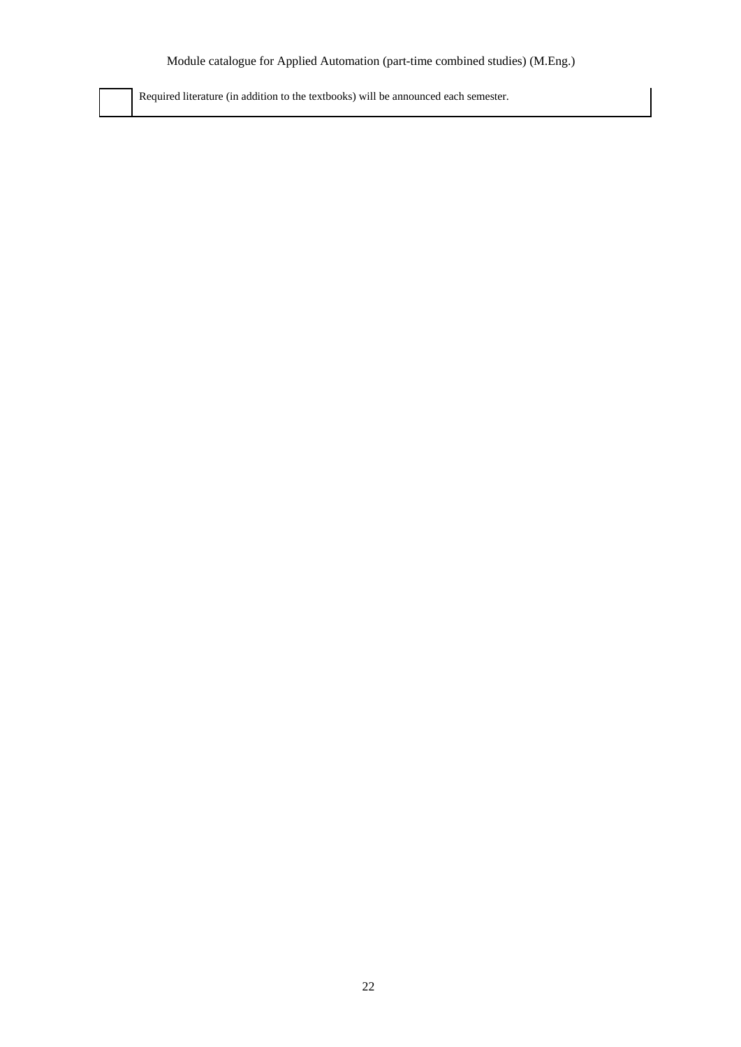Required literature (in addition to the textbooks) will be announced each semester.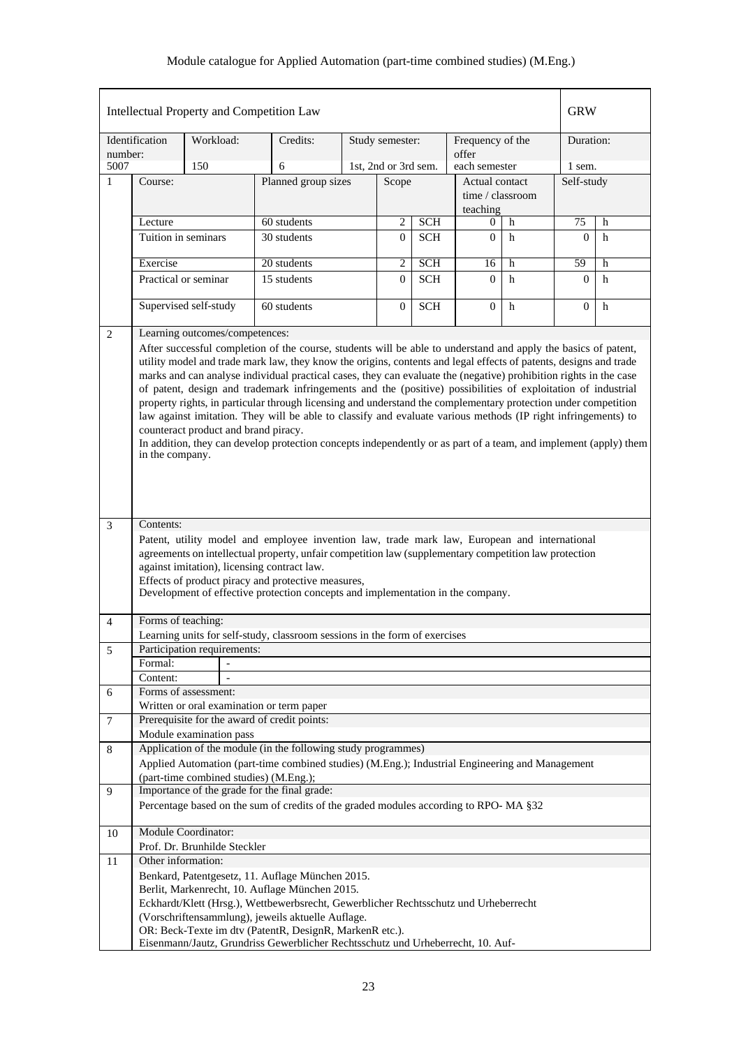|                |                                                                                                                                                                                                                                                                                                                                                                                                                                                                                                                                                                                                                                                                                                                                                                          |                                        | Intellectual Property and Competition Law                                                                                                                                                                                                                                                                                                                                                     |                      |                 |            |                                                |    | <b>GRW</b>   |   |
|----------------|--------------------------------------------------------------------------------------------------------------------------------------------------------------------------------------------------------------------------------------------------------------------------------------------------------------------------------------------------------------------------------------------------------------------------------------------------------------------------------------------------------------------------------------------------------------------------------------------------------------------------------------------------------------------------------------------------------------------------------------------------------------------------|----------------------------------------|-----------------------------------------------------------------------------------------------------------------------------------------------------------------------------------------------------------------------------------------------------------------------------------------------------------------------------------------------------------------------------------------------|----------------------|-----------------|------------|------------------------------------------------|----|--------------|---|
| number:        | Identification                                                                                                                                                                                                                                                                                                                                                                                                                                                                                                                                                                                                                                                                                                                                                           | Workload:                              | Credits:                                                                                                                                                                                                                                                                                                                                                                                      |                      | Study semester: |            | Frequency of the<br>offer                      |    | Duration:    |   |
| 5007           |                                                                                                                                                                                                                                                                                                                                                                                                                                                                                                                                                                                                                                                                                                                                                                          | 150                                    | 6                                                                                                                                                                                                                                                                                                                                                                                             | 1st, 2nd or 3rd sem. |                 |            | each semester                                  |    | 1 sem.       |   |
| $\mathbf{1}$   | Course:                                                                                                                                                                                                                                                                                                                                                                                                                                                                                                                                                                                                                                                                                                                                                                  |                                        |                                                                                                                                                                                                                                                                                                                                                                                               | Planned group sizes  |                 |            | Actual contact<br>time / classroom<br>teaching |    | Self-study   |   |
|                | Lecture                                                                                                                                                                                                                                                                                                                                                                                                                                                                                                                                                                                                                                                                                                                                                                  |                                        | 60 students                                                                                                                                                                                                                                                                                                                                                                                   |                      | 2               | <b>SCH</b> | 0                                              | h  | 75           | h |
|                | Tuition in seminars                                                                                                                                                                                                                                                                                                                                                                                                                                                                                                                                                                                                                                                                                                                                                      |                                        | 30 students                                                                                                                                                                                                                                                                                                                                                                                   |                      |                 |            | $\Omega$                                       | h  | $\Omega$     | h |
|                | Exercise                                                                                                                                                                                                                                                                                                                                                                                                                                                                                                                                                                                                                                                                                                                                                                 |                                        | 20 students                                                                                                                                                                                                                                                                                                                                                                                   | $\overline{2}$       | <b>SCH</b>      | 16         | $\overline{h}$                                 | 59 | h            |   |
|                |                                                                                                                                                                                                                                                                                                                                                                                                                                                                                                                                                                                                                                                                                                                                                                          | Practical or seminar                   | 15 students                                                                                                                                                                                                                                                                                                                                                                                   |                      | $\Omega$        | <b>SCH</b> | $\Omega$                                       | h  | $\Omega$     | h |
|                |                                                                                                                                                                                                                                                                                                                                                                                                                                                                                                                                                                                                                                                                                                                                                                          | Supervised self-study                  | 60 students                                                                                                                                                                                                                                                                                                                                                                                   |                      | $\overline{0}$  | <b>SCH</b> | $\overline{0}$                                 | h  | $\mathbf{0}$ | h |
| 2              |                                                                                                                                                                                                                                                                                                                                                                                                                                                                                                                                                                                                                                                                                                                                                                          | Learning outcomes/competences:         |                                                                                                                                                                                                                                                                                                                                                                                               |                      |                 |            |                                                |    |              |   |
|                | utility model and trade mark law, they know the origins, contents and legal effects of patents, designs and trade<br>marks and can analyse individual practical cases, they can evaluate the (negative) prohibition rights in the case<br>of patent, design and trademark infringements and the (positive) possibilities of exploitation of industrial<br>property rights, in particular through licensing and understand the complementary protection under competition<br>law against imitation. They will be able to classify and evaluate various methods (IP right infringements) to<br>counteract product and brand piracy.<br>In addition, they can develop protection concepts independently or as part of a team, and implement (apply) them<br>in the company. |                                        |                                                                                                                                                                                                                                                                                                                                                                                               |                      |                 |            |                                                |    |              |   |
| 3              | Contents:                                                                                                                                                                                                                                                                                                                                                                                                                                                                                                                                                                                                                                                                                                                                                                |                                        |                                                                                                                                                                                                                                                                                                                                                                                               |                      |                 |            |                                                |    |              |   |
|                |                                                                                                                                                                                                                                                                                                                                                                                                                                                                                                                                                                                                                                                                                                                                                                          |                                        | Patent, utility model and employee invention law, trade mark law, European and international<br>agreements on intellectual property, unfair competition law (supplementary competition law protection<br>against imitation), licensing contract law.<br>Effects of product piracy and protective measures,<br>Development of effective protection concepts and implementation in the company. |                      |                 |            |                                                |    |              |   |
| 4              | Forms of teaching:                                                                                                                                                                                                                                                                                                                                                                                                                                                                                                                                                                                                                                                                                                                                                       |                                        |                                                                                                                                                                                                                                                                                                                                                                                               |                      |                 |            |                                                |    |              |   |
|                |                                                                                                                                                                                                                                                                                                                                                                                                                                                                                                                                                                                                                                                                                                                                                                          |                                        | Learning units for self-study, classroom sessions in the form of exercises                                                                                                                                                                                                                                                                                                                    |                      |                 |            |                                                |    |              |   |
| 5              | Formal:                                                                                                                                                                                                                                                                                                                                                                                                                                                                                                                                                                                                                                                                                                                                                                  | Participation requirements:            |                                                                                                                                                                                                                                                                                                                                                                                               |                      |                 |            |                                                |    |              |   |
|                | Content:                                                                                                                                                                                                                                                                                                                                                                                                                                                                                                                                                                                                                                                                                                                                                                 |                                        |                                                                                                                                                                                                                                                                                                                                                                                               |                      |                 |            |                                                |    |              |   |
| 6              |                                                                                                                                                                                                                                                                                                                                                                                                                                                                                                                                                                                                                                                                                                                                                                          | Forms of assessment:                   |                                                                                                                                                                                                                                                                                                                                                                                               |                      |                 |            |                                                |    |              |   |
|                |                                                                                                                                                                                                                                                                                                                                                                                                                                                                                                                                                                                                                                                                                                                                                                          |                                        | Written or oral examination or term paper                                                                                                                                                                                                                                                                                                                                                     |                      |                 |            |                                                |    |              |   |
| $\overline{7}$ |                                                                                                                                                                                                                                                                                                                                                                                                                                                                                                                                                                                                                                                                                                                                                                          |                                        | Prerequisite for the award of credit points:                                                                                                                                                                                                                                                                                                                                                  |                      |                 |            |                                                |    |              |   |
|                |                                                                                                                                                                                                                                                                                                                                                                                                                                                                                                                                                                                                                                                                                                                                                                          | Module examination pass                |                                                                                                                                                                                                                                                                                                                                                                                               |                      |                 |            |                                                |    |              |   |
| 8              |                                                                                                                                                                                                                                                                                                                                                                                                                                                                                                                                                                                                                                                                                                                                                                          |                                        | Application of the module (in the following study programmes)                                                                                                                                                                                                                                                                                                                                 |                      |                 |            |                                                |    |              |   |
|                |                                                                                                                                                                                                                                                                                                                                                                                                                                                                                                                                                                                                                                                                                                                                                                          | (part-time combined studies) (M.Eng.); | Applied Automation (part-time combined studies) (M.Eng.); Industrial Engineering and Management                                                                                                                                                                                                                                                                                               |                      |                 |            |                                                |    |              |   |
| 9              |                                                                                                                                                                                                                                                                                                                                                                                                                                                                                                                                                                                                                                                                                                                                                                          |                                        | Importance of the grade for the final grade:                                                                                                                                                                                                                                                                                                                                                  |                      |                 |            |                                                |    |              |   |
|                |                                                                                                                                                                                                                                                                                                                                                                                                                                                                                                                                                                                                                                                                                                                                                                          |                                        | Percentage based on the sum of credits of the graded modules according to RPO-MA §32                                                                                                                                                                                                                                                                                                          |                      |                 |            |                                                |    |              |   |
| 10             |                                                                                                                                                                                                                                                                                                                                                                                                                                                                                                                                                                                                                                                                                                                                                                          | Module Coordinator:                    |                                                                                                                                                                                                                                                                                                                                                                                               |                      |                 |            |                                                |    |              |   |
|                |                                                                                                                                                                                                                                                                                                                                                                                                                                                                                                                                                                                                                                                                                                                                                                          | Prof. Dr. Brunhilde Steckler           |                                                                                                                                                                                                                                                                                                                                                                                               |                      |                 |            |                                                |    |              |   |
| 11             | Other information:                                                                                                                                                                                                                                                                                                                                                                                                                                                                                                                                                                                                                                                                                                                                                       |                                        |                                                                                                                                                                                                                                                                                                                                                                                               |                      |                 |            |                                                |    |              |   |
|                |                                                                                                                                                                                                                                                                                                                                                                                                                                                                                                                                                                                                                                                                                                                                                                          |                                        | Benkard, Patentgesetz, 11. Auflage München 2015.                                                                                                                                                                                                                                                                                                                                              |                      |                 |            |                                                |    |              |   |
|                |                                                                                                                                                                                                                                                                                                                                                                                                                                                                                                                                                                                                                                                                                                                                                                          |                                        | Berlit, Markenrecht, 10. Auflage München 2015.<br>Eckhardt/Klett (Hrsg.), Wettbewerbsrecht, Gewerblicher Rechtsschutz und Urheberrecht                                                                                                                                                                                                                                                        |                      |                 |            |                                                |    |              |   |
|                |                                                                                                                                                                                                                                                                                                                                                                                                                                                                                                                                                                                                                                                                                                                                                                          |                                        | (Vorschriftensammlung), jeweils aktuelle Auflage.                                                                                                                                                                                                                                                                                                                                             |                      |                 |            |                                                |    |              |   |
|                |                                                                                                                                                                                                                                                                                                                                                                                                                                                                                                                                                                                                                                                                                                                                                                          |                                        | OR: Beck-Texte im dtv (PatentR, DesignR, MarkenR etc.).<br>Eisenmann/Jautz, Grundriss Gewerblicher Rechtsschutz und Urheberrecht, 10. Auf-                                                                                                                                                                                                                                                    |                      |                 |            |                                                |    |              |   |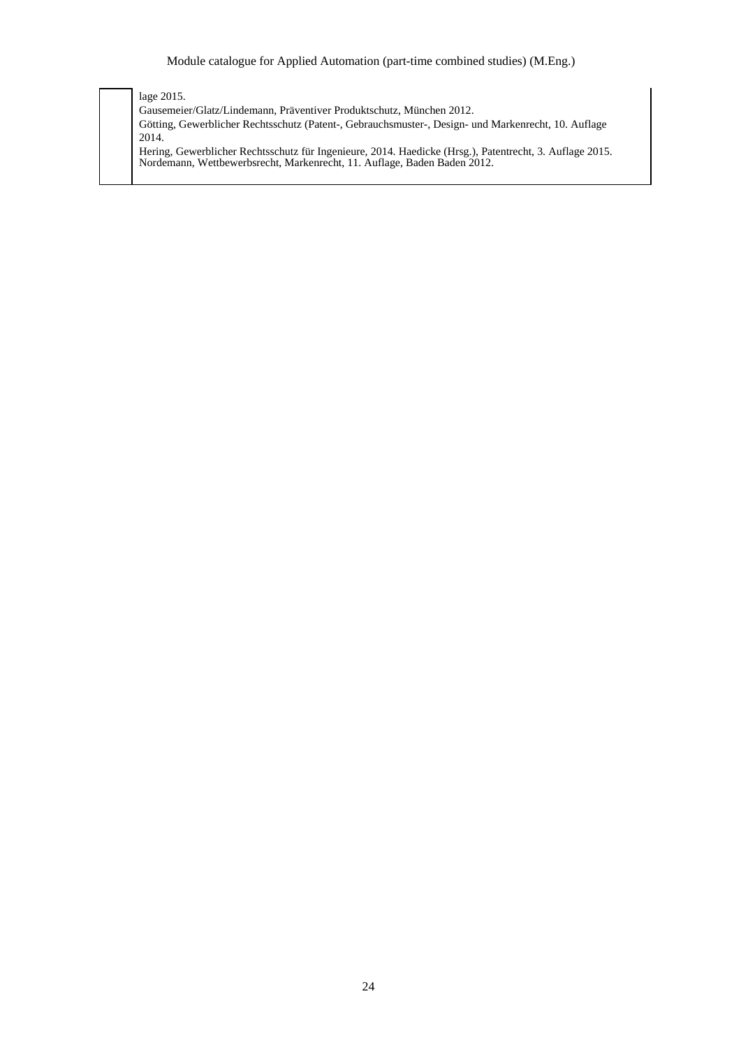lage 2015. Gausemeier/Glatz/Lindemann, Präventiver Produktschutz, München 2012. Götting, Gewerblicher Rechtsschutz (Patent-, Gebrauchsmuster-, Design- und Markenrecht, 10. Auflage 2014. Hering, Gewerblicher Rechtsschutz für Ingenieure, 2014. Haedicke (Hrsg.), Patentrecht, 3. Auflage 2015. Nordemann, Wettbewerbsrecht, Markenrecht, 11. Auflage, Baden Baden 2012.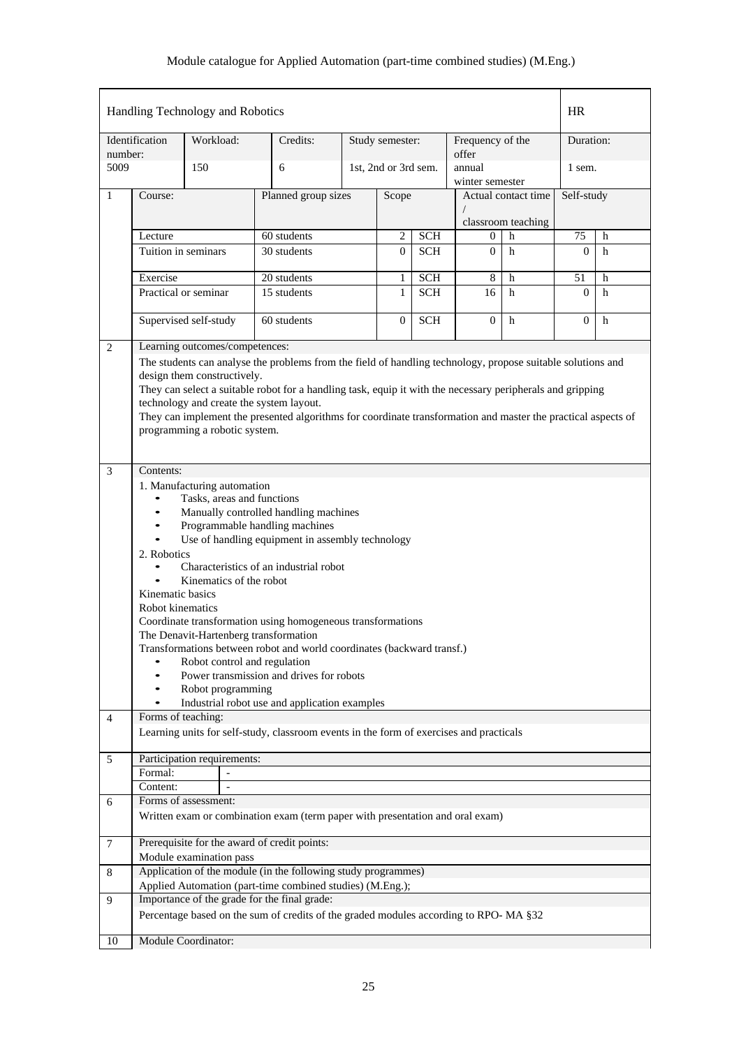|                |                                                                                                                                                | Handling Technology and Robotics                                        |                                                                                                                                                                                                                           |  |                      |            |                           |                     | <b>HR</b>      |             |  |
|----------------|------------------------------------------------------------------------------------------------------------------------------------------------|-------------------------------------------------------------------------|---------------------------------------------------------------------------------------------------------------------------------------------------------------------------------------------------------------------------|--|----------------------|------------|---------------------------|---------------------|----------------|-------------|--|
| number:        | Identification                                                                                                                                 | Workload:                                                               | Credits:                                                                                                                                                                                                                  |  | Study semester:      |            | Frequency of the<br>offer |                     | Duration:      |             |  |
| 5009           |                                                                                                                                                | 150                                                                     | 6                                                                                                                                                                                                                         |  | 1st, 2nd or 3rd sem. |            | annual<br>winter semester |                     | 1 sem.         |             |  |
| 1              | Course:                                                                                                                                        |                                                                         | Planned group sizes                                                                                                                                                                                                       |  | Scope                |            |                           | Actual contact time |                | Self-study  |  |
|                |                                                                                                                                                |                                                                         |                                                                                                                                                                                                                           |  |                      |            | classroom teaching        |                     |                |             |  |
|                | Lecture                                                                                                                                        |                                                                         | 60 students                                                                                                                                                                                                               |  | $\overline{2}$       | <b>SCH</b> | $\overline{0}$            | h                   | 75             | h           |  |
|                | Tuition in seminars                                                                                                                            |                                                                         | 30 students                                                                                                                                                                                                               |  | $\overline{0}$       | <b>SCH</b> | $\overline{0}$            | h                   | $\Omega$       | h           |  |
|                | Exercise                                                                                                                                       |                                                                         | 20 students                                                                                                                                                                                                               |  | 1                    | <b>SCH</b> | 8                         | $\mathbf h$         | 51             | $\mathbf h$ |  |
|                |                                                                                                                                                | Practical or seminar                                                    | 15 students                                                                                                                                                                                                               |  | $\mathbf{1}$         | <b>SCH</b> | 16                        | h                   | $\overline{0}$ | h           |  |
|                |                                                                                                                                                |                                                                         |                                                                                                                                                                                                                           |  |                      |            |                           |                     |                |             |  |
|                |                                                                                                                                                | Supervised self-study                                                   | 60 students                                                                                                                                                                                                               |  | $\boldsymbol{0}$     | <b>SCH</b> | $\theta$                  | h                   | $\overline{0}$ | h           |  |
| 2              |                                                                                                                                                | Learning outcomes/competences:                                          |                                                                                                                                                                                                                           |  |                      |            |                           |                     |                |             |  |
|                |                                                                                                                                                | design them constructively.<br>technology and create the system layout. | The students can analyse the problems from the field of handling technology, propose suitable solutions and<br>They can select a suitable robot for a handling task, equip it with the necessary peripherals and gripping |  |                      |            |                           |                     |                |             |  |
|                | They can implement the presented algorithms for coordinate transformation and master the practical aspects of<br>programming a robotic system. |                                                                         |                                                                                                                                                                                                                           |  |                      |            |                           |                     |                |             |  |
| 3              | Contents:                                                                                                                                      |                                                                         |                                                                                                                                                                                                                           |  |                      |            |                           |                     |                |             |  |
|                |                                                                                                                                                | 1. Manufacturing automation                                             |                                                                                                                                                                                                                           |  |                      |            |                           |                     |                |             |  |
|                | $\bullet$<br>$\bullet$                                                                                                                         | Tasks, areas and functions                                              | Manually controlled handling machines                                                                                                                                                                                     |  |                      |            |                           |                     |                |             |  |
|                | $\bullet$                                                                                                                                      |                                                                         | Programmable handling machines                                                                                                                                                                                            |  |                      |            |                           |                     |                |             |  |
|                | $\bullet$                                                                                                                                      |                                                                         | Use of handling equipment in assembly technology                                                                                                                                                                          |  |                      |            |                           |                     |                |             |  |
|                | 2. Robotics                                                                                                                                    |                                                                         | Characteristics of an industrial robot                                                                                                                                                                                    |  |                      |            |                           |                     |                |             |  |
|                | $\bullet$                                                                                                                                      | Kinematics of the robot                                                 |                                                                                                                                                                                                                           |  |                      |            |                           |                     |                |             |  |
|                | Kinematic basics                                                                                                                               |                                                                         |                                                                                                                                                                                                                           |  |                      |            |                           |                     |                |             |  |
|                | Robot kinematics                                                                                                                               |                                                                         |                                                                                                                                                                                                                           |  |                      |            |                           |                     |                |             |  |
|                |                                                                                                                                                |                                                                         | Coordinate transformation using homogeneous transformations                                                                                                                                                               |  |                      |            |                           |                     |                |             |  |
|                |                                                                                                                                                | The Denavit-Hartenberg transformation                                   | Transformations between robot and world coordinates (backward transf.)                                                                                                                                                    |  |                      |            |                           |                     |                |             |  |
|                |                                                                                                                                                | Robot control and regulation                                            |                                                                                                                                                                                                                           |  |                      |            |                           |                     |                |             |  |
|                | $\bullet$                                                                                                                                      |                                                                         | Power transmission and drives for robots                                                                                                                                                                                  |  |                      |            |                           |                     |                |             |  |
|                | $\bullet$<br>$\bullet$                                                                                                                         | Robot programming                                                       | Industrial robot use and application examples                                                                                                                                                                             |  |                      |            |                           |                     |                |             |  |
| $\overline{4}$ | Forms of teaching:                                                                                                                             |                                                                         |                                                                                                                                                                                                                           |  |                      |            |                           |                     |                |             |  |
|                |                                                                                                                                                |                                                                         | Learning units for self-study, classroom events in the form of exercises and practicals                                                                                                                                   |  |                      |            |                           |                     |                |             |  |
| 5              |                                                                                                                                                | Participation requirements:                                             |                                                                                                                                                                                                                           |  |                      |            |                           |                     |                |             |  |
|                | Formal:                                                                                                                                        | $\overline{\phantom{a}}$                                                |                                                                                                                                                                                                                           |  |                      |            |                           |                     |                |             |  |
| 6              | Content:                                                                                                                                       | Forms of assessment:                                                    |                                                                                                                                                                                                                           |  |                      |            |                           |                     |                |             |  |
|                |                                                                                                                                                |                                                                         | Written exam or combination exam (term paper with presentation and oral exam)                                                                                                                                             |  |                      |            |                           |                     |                |             |  |
|                |                                                                                                                                                |                                                                         | Prerequisite for the award of credit points:                                                                                                                                                                              |  |                      |            |                           |                     |                |             |  |
| 7              |                                                                                                                                                | Module examination pass                                                 |                                                                                                                                                                                                                           |  |                      |            |                           |                     |                |             |  |
| 8              |                                                                                                                                                |                                                                         | Application of the module (in the following study programmes)                                                                                                                                                             |  |                      |            |                           |                     |                |             |  |
|                |                                                                                                                                                |                                                                         | Applied Automation (part-time combined studies) (M.Eng.);                                                                                                                                                                 |  |                      |            |                           |                     |                |             |  |
| 9              |                                                                                                                                                |                                                                         | Importance of the grade for the final grade:                                                                                                                                                                              |  |                      |            |                           |                     |                |             |  |
|                |                                                                                                                                                |                                                                         | Percentage based on the sum of credits of the graded modules according to RPO-MA §32                                                                                                                                      |  |                      |            |                           |                     |                |             |  |
| 10             |                                                                                                                                                | <b>Module Coordinator:</b>                                              |                                                                                                                                                                                                                           |  |                      |            |                           |                     |                |             |  |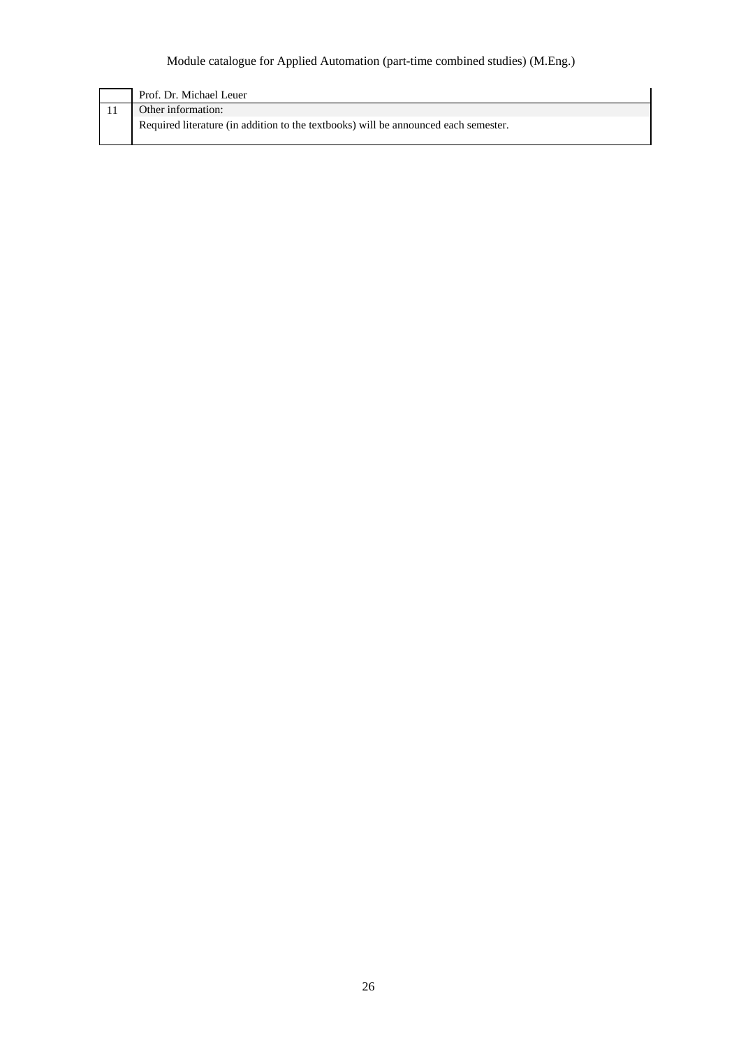| Prof. Dr. Michael Leuer                                                             |
|-------------------------------------------------------------------------------------|
| Other information:                                                                  |
| Required literature (in addition to the textbooks) will be announced each semester. |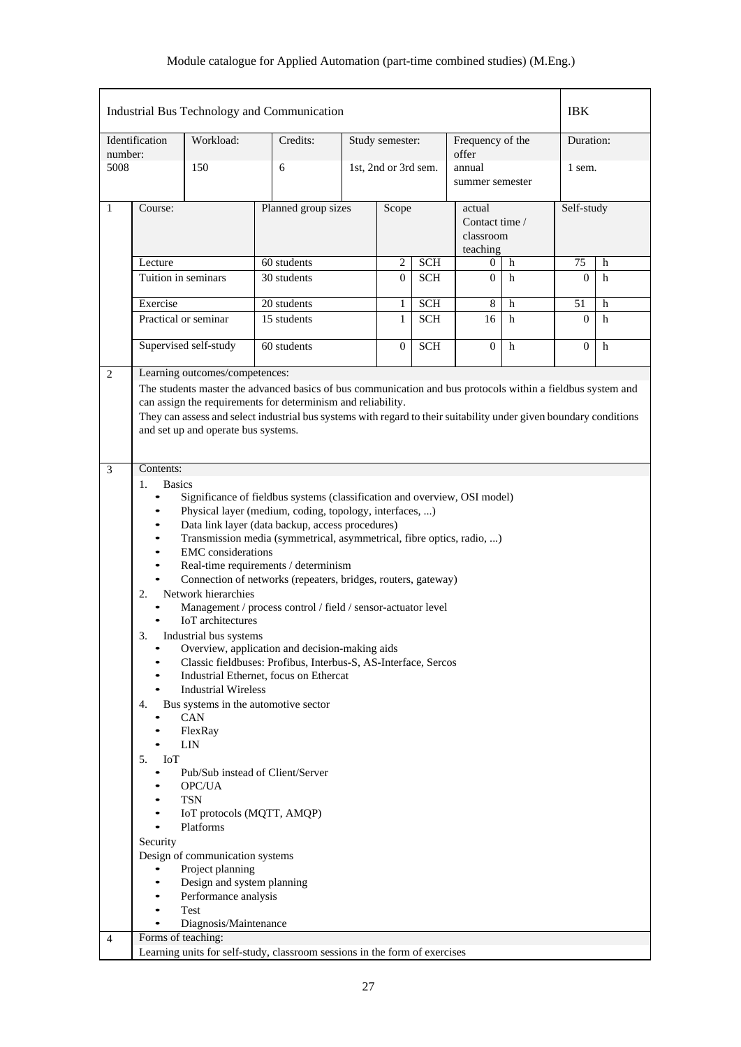|                |                                                                                                                                                                                                                                                                           |                                                                                                                                                                                                                                                                                                                                                                                                                                                        | Industrial Bus Technology and Communication                                                                                                                                                                                                                                                                                                                                                                                                                                                                                                                         |                     |                      |            |                                                   |   | <b>IBK</b>     |   |
|----------------|---------------------------------------------------------------------------------------------------------------------------------------------------------------------------------------------------------------------------------------------------------------------------|--------------------------------------------------------------------------------------------------------------------------------------------------------------------------------------------------------------------------------------------------------------------------------------------------------------------------------------------------------------------------------------------------------------------------------------------------------|---------------------------------------------------------------------------------------------------------------------------------------------------------------------------------------------------------------------------------------------------------------------------------------------------------------------------------------------------------------------------------------------------------------------------------------------------------------------------------------------------------------------------------------------------------------------|---------------------|----------------------|------------|---------------------------------------------------|---|----------------|---|
| number:        | Identification                                                                                                                                                                                                                                                            | Workload:                                                                                                                                                                                                                                                                                                                                                                                                                                              | Credits:                                                                                                                                                                                                                                                                                                                                                                                                                                                                                                                                                            |                     | Study semester:      |            | Frequency of the<br>offer                         |   | Duration:      |   |
| 5008           |                                                                                                                                                                                                                                                                           | 150                                                                                                                                                                                                                                                                                                                                                                                                                                                    | 6                                                                                                                                                                                                                                                                                                                                                                                                                                                                                                                                                                   |                     | 1st, 2nd or 3rd sem. |            | annual<br>summer semester                         |   | 1 sem.         |   |
| 1              | Course:                                                                                                                                                                                                                                                                   |                                                                                                                                                                                                                                                                                                                                                                                                                                                        |                                                                                                                                                                                                                                                                                                                                                                                                                                                                                                                                                                     | Planned group sizes |                      |            | actual<br>Contact time /<br>classroom<br>teaching |   | Self-study     |   |
|                | Lecture                                                                                                                                                                                                                                                                   |                                                                                                                                                                                                                                                                                                                                                                                                                                                        | 60 students                                                                                                                                                                                                                                                                                                                                                                                                                                                                                                                                                         |                     | <b>SCH</b><br>2      |            | h<br>0                                            |   | 75             | h |
|                |                                                                                                                                                                                                                                                                           | Tuition in seminars                                                                                                                                                                                                                                                                                                                                                                                                                                    | 30 students                                                                                                                                                                                                                                                                                                                                                                                                                                                                                                                                                         |                     | 0                    | <b>SCH</b> | $\overline{0}$                                    | h | $\mathbf{0}$   | h |
|                | Exercise                                                                                                                                                                                                                                                                  |                                                                                                                                                                                                                                                                                                                                                                                                                                                        | 20 students                                                                                                                                                                                                                                                                                                                                                                                                                                                                                                                                                         |                     | 1                    | <b>SCH</b> | 8                                                 | h | 51             | h |
|                |                                                                                                                                                                                                                                                                           | Practical or seminar                                                                                                                                                                                                                                                                                                                                                                                                                                   | 15 students                                                                                                                                                                                                                                                                                                                                                                                                                                                                                                                                                         |                     | 1                    | <b>SCH</b> | 16                                                | h | $\Omega$       | h |
|                |                                                                                                                                                                                                                                                                           | Supervised self-study                                                                                                                                                                                                                                                                                                                                                                                                                                  | 60 students                                                                                                                                                                                                                                                                                                                                                                                                                                                                                                                                                         |                     | 0                    | <b>SCH</b> | $\Omega$                                          | h | $\overline{0}$ | h |
| 3              | Contents:<br><b>Basics</b><br>1.<br>$\bullet$                                                                                                                                                                                                                             | and set up and operate bus systems.                                                                                                                                                                                                                                                                                                                                                                                                                    | They can assess and select industrial bus systems with regard to their suitability under given boundary conditions<br>Significance of fieldbus systems (classification and overview, OSI model)                                                                                                                                                                                                                                                                                                                                                                     |                     |                      |            |                                                   |   |                |   |
|                | $\bullet$<br>$\bullet$<br>$\bullet$<br>$\bullet$<br>$\bullet$<br>2.<br>3.<br>$\bullet$<br>$\bullet$<br>4.<br>$\bullet$<br>$\bullet$<br>5.<br>I <sub>o</sub> T<br>$\bullet$<br>$\bullet$<br>٠<br>$\bullet$<br>Security<br>$\bullet$<br>$\bullet$<br>$\bullet$<br>$\bullet$ | <b>EMC</b> considerations<br>Network hierarchies<br><b>IoT</b> architectures<br>Industrial bus systems<br><b>Industrial Wireless</b><br><b>CAN</b><br>FlexRay<br><b>LIN</b><br>Pub/Sub instead of Client/Server<br>OPC/UA<br><b>TSN</b><br>IoT protocols (MQTT, AMQP)<br>Platforms<br>Design of communication systems<br>Project planning<br>Design and system planning<br>Performance analysis<br>Test<br>Diagnosis/Maintenance<br>Forms of teaching: | Physical layer (medium, coding, topology, interfaces, )<br>Data link layer (data backup, access procedures)<br>Transmission media (symmetrical, asymmetrical, fibre optics, radio, )<br>Real-time requirements / determinism<br>Connection of networks (repeaters, bridges, routers, gateway)<br>Management / process control / field / sensor-actuator level<br>Overview, application and decision-making aids<br>Classic fieldbuses: Profibus, Interbus-S, AS-Interface, Sercos<br>Industrial Ethernet, focus on Ethercat<br>Bus systems in the automotive sector |                     |                      |            |                                                   |   |                |   |
| $\overline{4}$ |                                                                                                                                                                                                                                                                           |                                                                                                                                                                                                                                                                                                                                                                                                                                                        | Learning units for self-study, classroom sessions in the form of exercises                                                                                                                                                                                                                                                                                                                                                                                                                                                                                          |                     |                      |            |                                                   |   |                |   |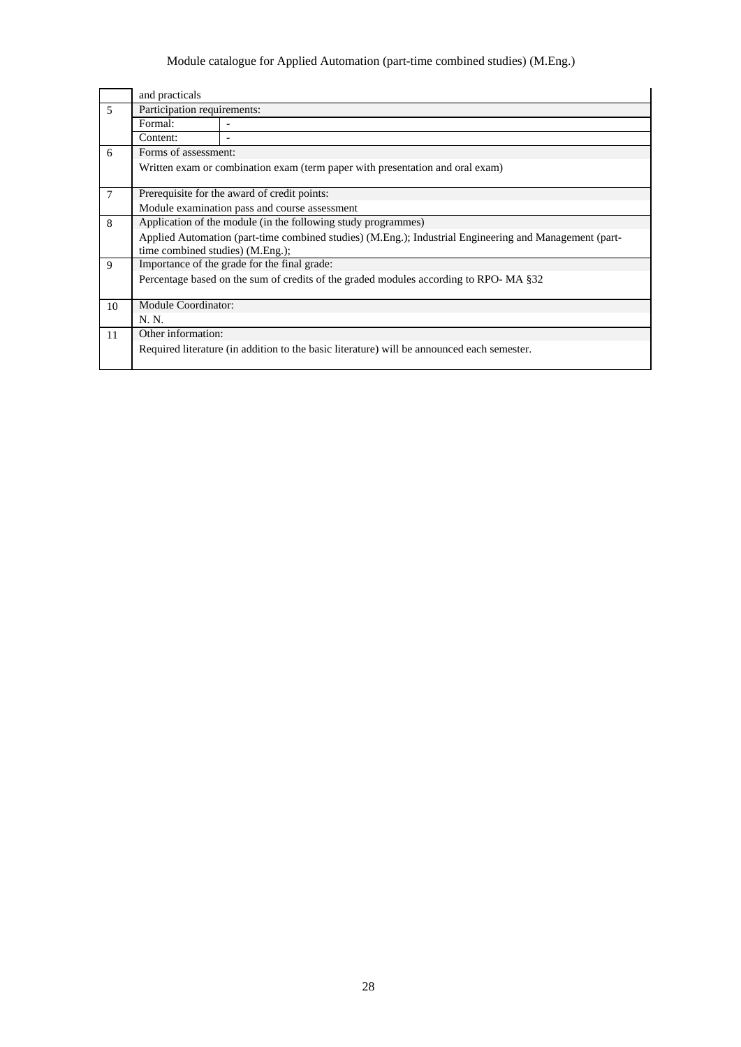|                | and practicals                                                                |                                                                                                        |  |  |  |  |  |  |  |
|----------------|-------------------------------------------------------------------------------|--------------------------------------------------------------------------------------------------------|--|--|--|--|--|--|--|
| $\overline{5}$ | Participation requirements:                                                   |                                                                                                        |  |  |  |  |  |  |  |
|                | Formal:                                                                       |                                                                                                        |  |  |  |  |  |  |  |
|                | Content:                                                                      |                                                                                                        |  |  |  |  |  |  |  |
| 6              | Forms of assessment:                                                          |                                                                                                        |  |  |  |  |  |  |  |
|                | Written exam or combination exam (term paper with presentation and oral exam) |                                                                                                        |  |  |  |  |  |  |  |
| $\overline{7}$ |                                                                               | Prerequisite for the award of credit points:                                                           |  |  |  |  |  |  |  |
|                |                                                                               | Module examination pass and course assessment                                                          |  |  |  |  |  |  |  |
| 8              | Application of the module (in the following study programmes)                 |                                                                                                        |  |  |  |  |  |  |  |
|                | time combined studies) (M.Eng.);                                              | Applied Automation (part-time combined studies) (M.Eng.); Industrial Engineering and Management (part- |  |  |  |  |  |  |  |
| 9              |                                                                               | Importance of the grade for the final grade:                                                           |  |  |  |  |  |  |  |
|                |                                                                               | Percentage based on the sum of credits of the graded modules according to RPO-MA §32                   |  |  |  |  |  |  |  |
| 10             | Module Coordinator:                                                           |                                                                                                        |  |  |  |  |  |  |  |
|                | N. N.                                                                         |                                                                                                        |  |  |  |  |  |  |  |
| 11             | Other information:                                                            |                                                                                                        |  |  |  |  |  |  |  |
|                |                                                                               | Required literature (in addition to the basic literature) will be announced each semester.             |  |  |  |  |  |  |  |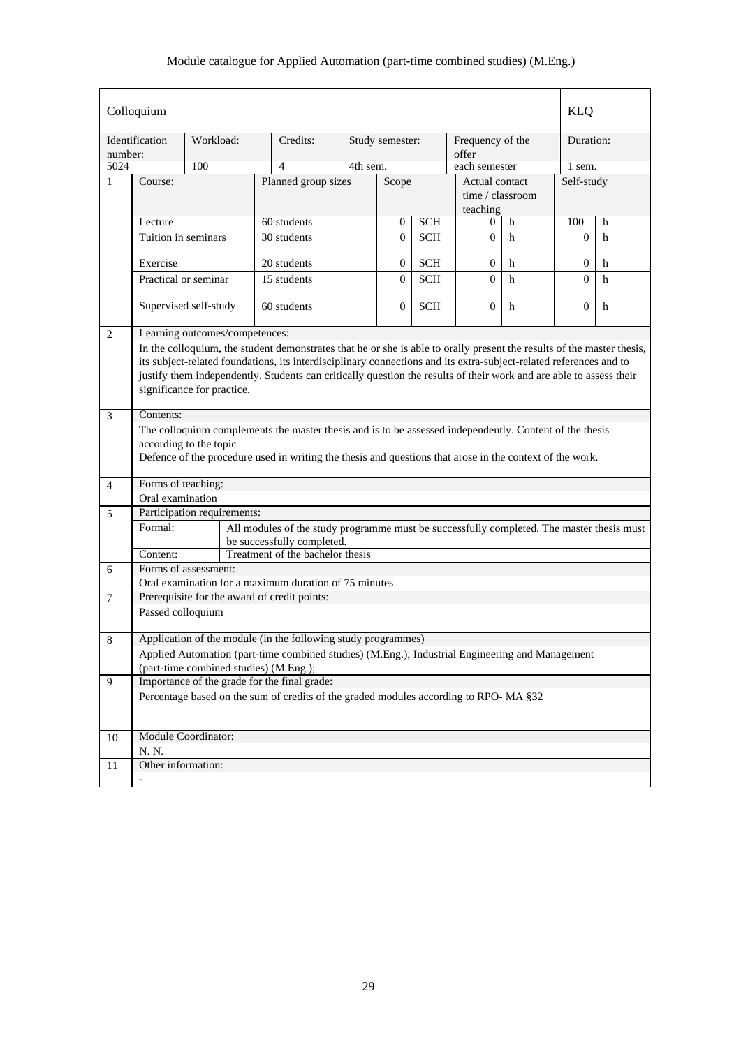|                 | Colloquium                                                                                                                                                                                                                                                                                                                                                                                        |                                |                                                                                                          |                     |                 |            |                              |   | <b>KLQ</b>       |             |  |  |  |  |  |
|-----------------|---------------------------------------------------------------------------------------------------------------------------------------------------------------------------------------------------------------------------------------------------------------------------------------------------------------------------------------------------------------------------------------------------|--------------------------------|----------------------------------------------------------------------------------------------------------|---------------------|-----------------|------------|------------------------------|---|------------------|-------------|--|--|--|--|--|
| number:         | Identification                                                                                                                                                                                                                                                                                                                                                                                    | Workload:                      | Credits:                                                                                                 |                     | Study semester: |            | Frequency of the<br>offer    |   | Duration:        |             |  |  |  |  |  |
| 5024            |                                                                                                                                                                                                                                                                                                                                                                                                   | 100                            | $\overline{4}$                                                                                           | 4th sem.            |                 |            | each semester                |   | 1 sem.           |             |  |  |  |  |  |
| 1               | Course:                                                                                                                                                                                                                                                                                                                                                                                           |                                |                                                                                                          | Planned group sizes |                 | Scope      | Actual contact               |   | Self-study       |             |  |  |  |  |  |
|                 |                                                                                                                                                                                                                                                                                                                                                                                                   |                                |                                                                                                          |                     |                 |            | time / classroom<br>teaching |   |                  |             |  |  |  |  |  |
|                 | Lecture                                                                                                                                                                                                                                                                                                                                                                                           |                                | 60 students                                                                                              |                     | $\overline{0}$  | <b>SCH</b> | 0                            | h | 100              | h           |  |  |  |  |  |
|                 | Tuition in seminars                                                                                                                                                                                                                                                                                                                                                                               |                                | 30 students                                                                                              |                     | $\Omega$        | <b>SCH</b> | $\Omega$                     | h | $\Omega$         | h           |  |  |  |  |  |
|                 | Exercise                                                                                                                                                                                                                                                                                                                                                                                          |                                | 20 students                                                                                              |                     | 0               | <b>SCH</b> | 0                            | h | $\boldsymbol{0}$ | h           |  |  |  |  |  |
|                 | Practical or seminar                                                                                                                                                                                                                                                                                                                                                                              |                                | 15 students                                                                                              |                     | $\Omega$        | <b>SCH</b> | $\Omega$                     | h | $\Omega$         | h           |  |  |  |  |  |
|                 |                                                                                                                                                                                                                                                                                                                                                                                                   |                                |                                                                                                          |                     |                 |            |                              |   |                  |             |  |  |  |  |  |
|                 |                                                                                                                                                                                                                                                                                                                                                                                                   | Supervised self-study          | 60 students                                                                                              |                     | $\mathbf{0}$    | <b>SCH</b> | $\overline{0}$               | h | $\mathbf{0}$     | $\mathbf h$ |  |  |  |  |  |
| 2               |                                                                                                                                                                                                                                                                                                                                                                                                   | Learning outcomes/competences: |                                                                                                          |                     |                 |            |                              |   |                  |             |  |  |  |  |  |
|                 | In the colloquium, the student demonstrates that he or she is able to orally present the results of the master thesis,<br>its subject-related foundations, its interdisciplinary connections and its extra-subject-related references and to<br>justify them independently. Students can critically question the results of their work and are able to assess their<br>significance for practice. |                                |                                                                                                          |                     |                 |            |                              |   |                  |             |  |  |  |  |  |
| 3               | Contents:                                                                                                                                                                                                                                                                                                                                                                                         |                                |                                                                                                          |                     |                 |            |                              |   |                  |             |  |  |  |  |  |
|                 |                                                                                                                                                                                                                                                                                                                                                                                                   |                                | The colloquium complements the master thesis and is to be assessed independently. Content of the thesis  |                     |                 |            |                              |   |                  |             |  |  |  |  |  |
|                 |                                                                                                                                                                                                                                                                                                                                                                                                   | according to the topic         |                                                                                                          |                     |                 |            |                              |   |                  |             |  |  |  |  |  |
|                 |                                                                                                                                                                                                                                                                                                                                                                                                   |                                | Defence of the procedure used in writing the thesis and questions that arose in the context of the work. |                     |                 |            |                              |   |                  |             |  |  |  |  |  |
| $\overline{4}$  | Forms of teaching:                                                                                                                                                                                                                                                                                                                                                                                |                                |                                                                                                          |                     |                 |            |                              |   |                  |             |  |  |  |  |  |
|                 | Oral examination                                                                                                                                                                                                                                                                                                                                                                                  |                                |                                                                                                          |                     |                 |            |                              |   |                  |             |  |  |  |  |  |
| 5               |                                                                                                                                                                                                                                                                                                                                                                                                   | Participation requirements:    |                                                                                                          |                     |                 |            |                              |   |                  |             |  |  |  |  |  |
|                 | Formal:                                                                                                                                                                                                                                                                                                                                                                                           |                                | All modules of the study programme must be successfully completed. The master thesis must                |                     |                 |            |                              |   |                  |             |  |  |  |  |  |
|                 |                                                                                                                                                                                                                                                                                                                                                                                                   |                                | be successfully completed.                                                                               |                     |                 |            |                              |   |                  |             |  |  |  |  |  |
|                 | Content:                                                                                                                                                                                                                                                                                                                                                                                          |                                | Treatment of the bachelor thesis                                                                         |                     |                 |            |                              |   |                  |             |  |  |  |  |  |
| 6               |                                                                                                                                                                                                                                                                                                                                                                                                   | Forms of assessment:           |                                                                                                          |                     |                 |            |                              |   |                  |             |  |  |  |  |  |
|                 |                                                                                                                                                                                                                                                                                                                                                                                                   |                                | Oral examination for a maximum duration of 75 minutes                                                    |                     |                 |            |                              |   |                  |             |  |  |  |  |  |
| $7\phantom{.0}$ |                                                                                                                                                                                                                                                                                                                                                                                                   |                                | Prerequisite for the award of credit points:                                                             |                     |                 |            |                              |   |                  |             |  |  |  |  |  |
|                 | Passed colloquium                                                                                                                                                                                                                                                                                                                                                                                 |                                |                                                                                                          |                     |                 |            |                              |   |                  |             |  |  |  |  |  |
| 8               |                                                                                                                                                                                                                                                                                                                                                                                                   |                                | Application of the module (in the following study programmes)                                            |                     |                 |            |                              |   |                  |             |  |  |  |  |  |
|                 |                                                                                                                                                                                                                                                                                                                                                                                                   |                                | Applied Automation (part-time combined studies) (M.Eng.); Industrial Engineering and Management          |                     |                 |            |                              |   |                  |             |  |  |  |  |  |
|                 |                                                                                                                                                                                                                                                                                                                                                                                                   |                                | (part-time combined studies) (M.Eng.);                                                                   |                     |                 |            |                              |   |                  |             |  |  |  |  |  |
| 9               |                                                                                                                                                                                                                                                                                                                                                                                                   |                                | Importance of the grade for the final grade:                                                             |                     |                 |            |                              |   |                  |             |  |  |  |  |  |
|                 |                                                                                                                                                                                                                                                                                                                                                                                                   |                                | Percentage based on the sum of credits of the graded modules according to RPO-MA §32                     |                     |                 |            |                              |   |                  |             |  |  |  |  |  |
|                 |                                                                                                                                                                                                                                                                                                                                                                                                   |                                |                                                                                                          |                     |                 |            |                              |   |                  |             |  |  |  |  |  |
| 10              |                                                                                                                                                                                                                                                                                                                                                                                                   | Module Coordinator:            |                                                                                                          |                     |                 |            |                              |   |                  |             |  |  |  |  |  |
|                 | N. N.                                                                                                                                                                                                                                                                                                                                                                                             |                                |                                                                                                          |                     |                 |            |                              |   |                  |             |  |  |  |  |  |
| 11              |                                                                                                                                                                                                                                                                                                                                                                                                   |                                |                                                                                                          |                     |                 |            |                              |   |                  |             |  |  |  |  |  |
|                 | $\overline{\phantom{a}}$                                                                                                                                                                                                                                                                                                                                                                          |                                |                                                                                                          |                     |                 |            | Other information:           |   |                  |             |  |  |  |  |  |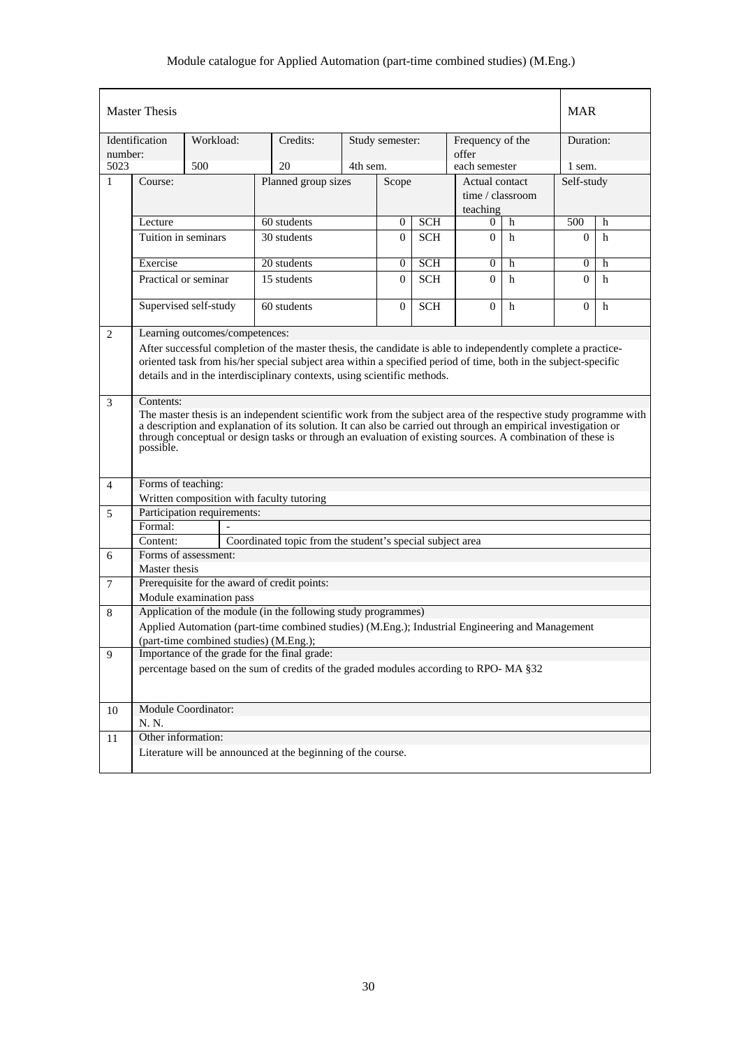|                | <b>Master Thesis</b>                                                                                                                                                                                                                                                                                                                                                        |           |  |                                                                                                                                           |  |                 |                  |                                                |             | <b>MAR</b>     |   |
|----------------|-----------------------------------------------------------------------------------------------------------------------------------------------------------------------------------------------------------------------------------------------------------------------------------------------------------------------------------------------------------------------------|-----------|--|-------------------------------------------------------------------------------------------------------------------------------------------|--|-----------------|------------------|------------------------------------------------|-------------|----------------|---|
| number:        | Identification                                                                                                                                                                                                                                                                                                                                                              | Workload: |  | Credits:                                                                                                                                  |  | Study semester: |                  | Frequency of the<br>offer                      |             | Duration:      |   |
| 5023           |                                                                                                                                                                                                                                                                                                                                                                             | 500       |  | 20                                                                                                                                        |  | 4th sem.        |                  | each semester                                  |             | 1 sem.         |   |
| 1              | Course:                                                                                                                                                                                                                                                                                                                                                                     |           |  | Planned group sizes                                                                                                                       |  |                 | Scope            | Actual contact<br>time / classroom<br>teaching |             | Self-study     |   |
|                | Lecture                                                                                                                                                                                                                                                                                                                                                                     |           |  | 60 students                                                                                                                               |  | $\theta$        | $\overline{SCH}$ | $\theta$                                       | h           | 500            | h |
|                | Tuition in seminars                                                                                                                                                                                                                                                                                                                                                         |           |  | 30 students                                                                                                                               |  | $\Omega$        | <b>SCH</b>       | $\Omega$                                       | h           | $\Omega$       | h |
|                | Exercise                                                                                                                                                                                                                                                                                                                                                                    |           |  | 20 students                                                                                                                               |  | $\overline{0}$  | SCH              | $\theta$                                       | h           | $\overline{0}$ | h |
|                | Practical or seminar                                                                                                                                                                                                                                                                                                                                                        |           |  | 15 students                                                                                                                               |  | $\Omega$        | <b>SCH</b>       | $\Omega$                                       | h           | $\Omega$       | h |
|                | Supervised self-study                                                                                                                                                                                                                                                                                                                                                       |           |  | 60 students                                                                                                                               |  | $\overline{0}$  | <b>SCH</b>       | $\Omega$                                       | $\mathbf h$ | $\overline{0}$ | h |
| 2              | Learning outcomes/competences:<br>After successful completion of the master thesis, the candidate is able to independently complete a practice-<br>oriented task from his/her special subject area within a specified period of time, both in the subject-specific<br>details and in the interdisciplinary contexts, using scientific methods.                              |           |  |                                                                                                                                           |  |                 |                  |                                                |             |                |   |
| 3              | Contents:<br>The master thesis is an independent scientific work from the subject area of the respective study programme with<br>a description and explanation of its solution. It can also be carried out through an empirical investigation or<br>through conceptual or design tasks or through an evaluation of existing sources. A combination of these is<br>possible. |           |  |                                                                                                                                           |  |                 |                  |                                                |             |                |   |
| $\overline{4}$ | Forms of teaching:                                                                                                                                                                                                                                                                                                                                                          |           |  |                                                                                                                                           |  |                 |                  |                                                |             |                |   |
|                |                                                                                                                                                                                                                                                                                                                                                                             |           |  | Written composition with faculty tutoring                                                                                                 |  |                 |                  |                                                |             |                |   |
| 5              | Participation requirements:                                                                                                                                                                                                                                                                                                                                                 |           |  |                                                                                                                                           |  |                 |                  |                                                |             |                |   |
|                | Formal:                                                                                                                                                                                                                                                                                                                                                                     |           |  |                                                                                                                                           |  |                 |                  |                                                |             |                |   |
|                | Content:<br>Forms of assessment:                                                                                                                                                                                                                                                                                                                                            |           |  | Coordinated topic from the student's special subject area                                                                                 |  |                 |                  |                                                |             |                |   |
| 6              | Master thesis                                                                                                                                                                                                                                                                                                                                                               |           |  |                                                                                                                                           |  |                 |                  |                                                |             |                |   |
| 7              |                                                                                                                                                                                                                                                                                                                                                                             |           |  | Prerequisite for the award of credit points:                                                                                              |  |                 |                  |                                                |             |                |   |
|                | Module examination pass                                                                                                                                                                                                                                                                                                                                                     |           |  |                                                                                                                                           |  |                 |                  |                                                |             |                |   |
| 8              |                                                                                                                                                                                                                                                                                                                                                                             |           |  | Application of the module (in the following study programmes)                                                                             |  |                 |                  |                                                |             |                |   |
|                |                                                                                                                                                                                                                                                                                                                                                                             |           |  | Applied Automation (part-time combined studies) (M.Eng.); Industrial Engineering and Management<br>(part-time combined studies) (M.Eng.); |  |                 |                  |                                                |             |                |   |
| 9              |                                                                                                                                                                                                                                                                                                                                                                             |           |  | Importance of the grade for the final grade:                                                                                              |  |                 |                  |                                                |             |                |   |
|                |                                                                                                                                                                                                                                                                                                                                                                             |           |  | percentage based on the sum of credits of the graded modules according to RPO-MA §32                                                      |  |                 |                  |                                                |             |                |   |
| 10             | Module Coordinator:<br>N. N.                                                                                                                                                                                                                                                                                                                                                |           |  |                                                                                                                                           |  |                 |                  |                                                |             |                |   |
| $11\,$         | Other information:                                                                                                                                                                                                                                                                                                                                                          |           |  |                                                                                                                                           |  |                 |                  |                                                |             |                |   |
|                |                                                                                                                                                                                                                                                                                                                                                                             |           |  | Literature will be announced at the beginning of the course.                                                                              |  |                 |                  |                                                |             |                |   |
|                |                                                                                                                                                                                                                                                                                                                                                                             |           |  |                                                                                                                                           |  |                 |                  |                                                |             |                |   |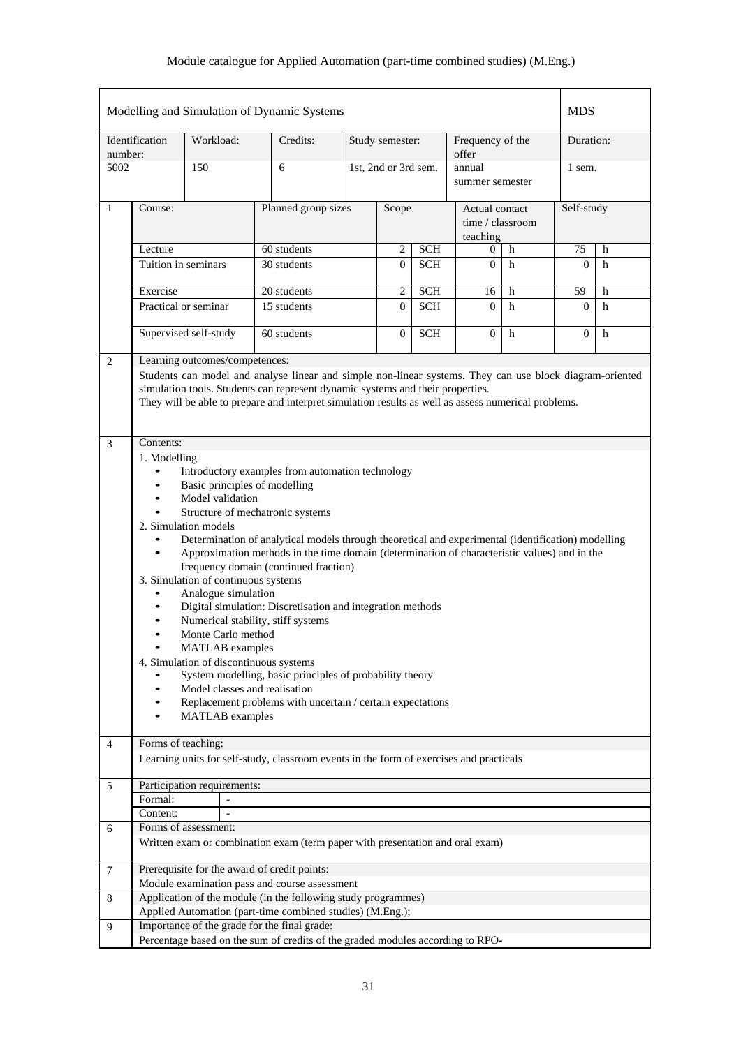|                |                                                                                                                                                                                                                                                                                                                                                                                                                                                                                                                                                                                                                                                                                                                                                                                                                                                                                                                                                                                        |                                | Modelling and Simulation of Dynamic Systems                                                   |                              |                      |            |                                                |   | <b>MDS</b>       |           |  |
|----------------|----------------------------------------------------------------------------------------------------------------------------------------------------------------------------------------------------------------------------------------------------------------------------------------------------------------------------------------------------------------------------------------------------------------------------------------------------------------------------------------------------------------------------------------------------------------------------------------------------------------------------------------------------------------------------------------------------------------------------------------------------------------------------------------------------------------------------------------------------------------------------------------------------------------------------------------------------------------------------------------|--------------------------------|-----------------------------------------------------------------------------------------------|------------------------------|----------------------|------------|------------------------------------------------|---|------------------|-----------|--|
| number:        | Identification                                                                                                                                                                                                                                                                                                                                                                                                                                                                                                                                                                                                                                                                                                                                                                                                                                                                                                                                                                         | Workload:                      | Credits:                                                                                      |                              | Study semester:      |            | Frequency of the<br>offer                      |   |                  | Duration: |  |
| 5002           |                                                                                                                                                                                                                                                                                                                                                                                                                                                                                                                                                                                                                                                                                                                                                                                                                                                                                                                                                                                        | 150                            | 6                                                                                             |                              | 1st, 2nd or 3rd sem. |            | annual<br>summer semester                      |   | 1 sem.           |           |  |
| $\mathbf{1}$   | Course:                                                                                                                                                                                                                                                                                                                                                                                                                                                                                                                                                                                                                                                                                                                                                                                                                                                                                                                                                                                |                                |                                                                                               | Planned group sizes<br>Scope |                      |            | Actual contact<br>time / classroom<br>teaching |   | Self-study       |           |  |
|                | Lecture                                                                                                                                                                                                                                                                                                                                                                                                                                                                                                                                                                                                                                                                                                                                                                                                                                                                                                                                                                                |                                | 60 students                                                                                   |                              | 2                    | <b>SCH</b> | 0                                              | h | 75               | h         |  |
|                |                                                                                                                                                                                                                                                                                                                                                                                                                                                                                                                                                                                                                                                                                                                                                                                                                                                                                                                                                                                        | Tuition in seminars            | 30 students                                                                                   |                              | $\Omega$             | <b>SCH</b> | $\overline{0}$                                 | h | $\Omega$         | h         |  |
|                | Exercise                                                                                                                                                                                                                                                                                                                                                                                                                                                                                                                                                                                                                                                                                                                                                                                                                                                                                                                                                                               |                                | 20 students                                                                                   |                              | 2                    | <b>SCH</b> | 16                                             | h | 59               | h         |  |
|                |                                                                                                                                                                                                                                                                                                                                                                                                                                                                                                                                                                                                                                                                                                                                                                                                                                                                                                                                                                                        | Practical or seminar           | 15 students                                                                                   |                              | $\overline{0}$       | <b>SCH</b> | $\Omega$                                       | h | $\mathbf{0}$     | h         |  |
|                |                                                                                                                                                                                                                                                                                                                                                                                                                                                                                                                                                                                                                                                                                                                                                                                                                                                                                                                                                                                        | Supervised self-study          | 60 students                                                                                   |                              | $\mathbf{0}$         | <b>SCH</b> | $\overline{0}$                                 | h | $\boldsymbol{0}$ | h         |  |
| $\overline{2}$ |                                                                                                                                                                                                                                                                                                                                                                                                                                                                                                                                                                                                                                                                                                                                                                                                                                                                                                                                                                                        | Learning outcomes/competences: |                                                                                               |                              |                      |            |                                                |   |                  |           |  |
|                | Students can model and analyse linear and simple non-linear systems. They can use block diagram-oriented<br>simulation tools. Students can represent dynamic systems and their properties.<br>They will be able to prepare and interpret simulation results as well as assess numerical problems.                                                                                                                                                                                                                                                                                                                                                                                                                                                                                                                                                                                                                                                                                      |                                |                                                                                               |                              |                      |            |                                                |   |                  |           |  |
| $\mathfrak{Z}$ | Contents:                                                                                                                                                                                                                                                                                                                                                                                                                                                                                                                                                                                                                                                                                                                                                                                                                                                                                                                                                                              |                                |                                                                                               |                              |                      |            |                                                |   |                  |           |  |
|                | Introductory examples from automation technology<br>$\bullet$<br>Basic principles of modelling<br>$\bullet$<br>Model validation<br>$\bullet$<br>Structure of mechatronic systems<br>$\bullet$<br>2. Simulation models<br>Determination of analytical models through theoretical and experimental (identification) modelling<br>Approximation methods in the time domain (determination of characteristic values) and in the<br>$\bullet$<br>frequency domain (continued fraction)<br>3. Simulation of continuous systems<br>Analogue simulation<br>Digital simulation: Discretisation and integration methods<br>$\bullet$<br>Numerical stability, stiff systems<br>$\bullet$<br>Monte Carlo method<br>$\bullet$<br><b>MATLAB</b> examples<br>$\bullet$<br>4. Simulation of discontinuous systems<br>System modelling, basic principles of probability theory<br>Model classes and realisation<br>$\bullet$<br>Replacement problems with uncertain / certain expectations<br>$\bullet$ |                                |                                                                                               |                              |                      |            |                                                |   |                  |           |  |
| $\overline{4}$ | Forms of teaching:                                                                                                                                                                                                                                                                                                                                                                                                                                                                                                                                                                                                                                                                                                                                                                                                                                                                                                                                                                     |                                |                                                                                               |                              |                      |            |                                                |   |                  |           |  |
|                |                                                                                                                                                                                                                                                                                                                                                                                                                                                                                                                                                                                                                                                                                                                                                                                                                                                                                                                                                                                        |                                | Learning units for self-study, classroom events in the form of exercises and practicals       |                              |                      |            |                                                |   |                  |           |  |
| 5              |                                                                                                                                                                                                                                                                                                                                                                                                                                                                                                                                                                                                                                                                                                                                                                                                                                                                                                                                                                                        | Participation requirements:    |                                                                                               |                              |                      |            |                                                |   |                  |           |  |
|                | Formal:                                                                                                                                                                                                                                                                                                                                                                                                                                                                                                                                                                                                                                                                                                                                                                                                                                                                                                                                                                                |                                |                                                                                               |                              |                      |            |                                                |   |                  |           |  |
|                | Content:                                                                                                                                                                                                                                                                                                                                                                                                                                                                                                                                                                                                                                                                                                                                                                                                                                                                                                                                                                               |                                |                                                                                               |                              |                      |            |                                                |   |                  |           |  |
| 6              |                                                                                                                                                                                                                                                                                                                                                                                                                                                                                                                                                                                                                                                                                                                                                                                                                                                                                                                                                                                        | Forms of assessment:           | Written exam or combination exam (term paper with presentation and oral exam)                 |                              |                      |            |                                                |   |                  |           |  |
| 7              |                                                                                                                                                                                                                                                                                                                                                                                                                                                                                                                                                                                                                                                                                                                                                                                                                                                                                                                                                                                        |                                | Prerequisite for the award of credit points:<br>Module examination pass and course assessment |                              |                      |            |                                                |   |                  |           |  |
| 8              |                                                                                                                                                                                                                                                                                                                                                                                                                                                                                                                                                                                                                                                                                                                                                                                                                                                                                                                                                                                        |                                | Application of the module (in the following study programmes)                                 |                              |                      |            |                                                |   |                  |           |  |
|                |                                                                                                                                                                                                                                                                                                                                                                                                                                                                                                                                                                                                                                                                                                                                                                                                                                                                                                                                                                                        |                                | Applied Automation (part-time combined studies) (M.Eng.);                                     |                              |                      |            |                                                |   |                  |           |  |
| 9              |                                                                                                                                                                                                                                                                                                                                                                                                                                                                                                                                                                                                                                                                                                                                                                                                                                                                                                                                                                                        |                                | Importance of the grade for the final grade:                                                  |                              |                      |            |                                                |   |                  |           |  |
|                |                                                                                                                                                                                                                                                                                                                                                                                                                                                                                                                                                                                                                                                                                                                                                                                                                                                                                                                                                                                        |                                | Percentage based on the sum of credits of the graded modules according to RPO-                |                              |                      |            |                                                |   |                  |           |  |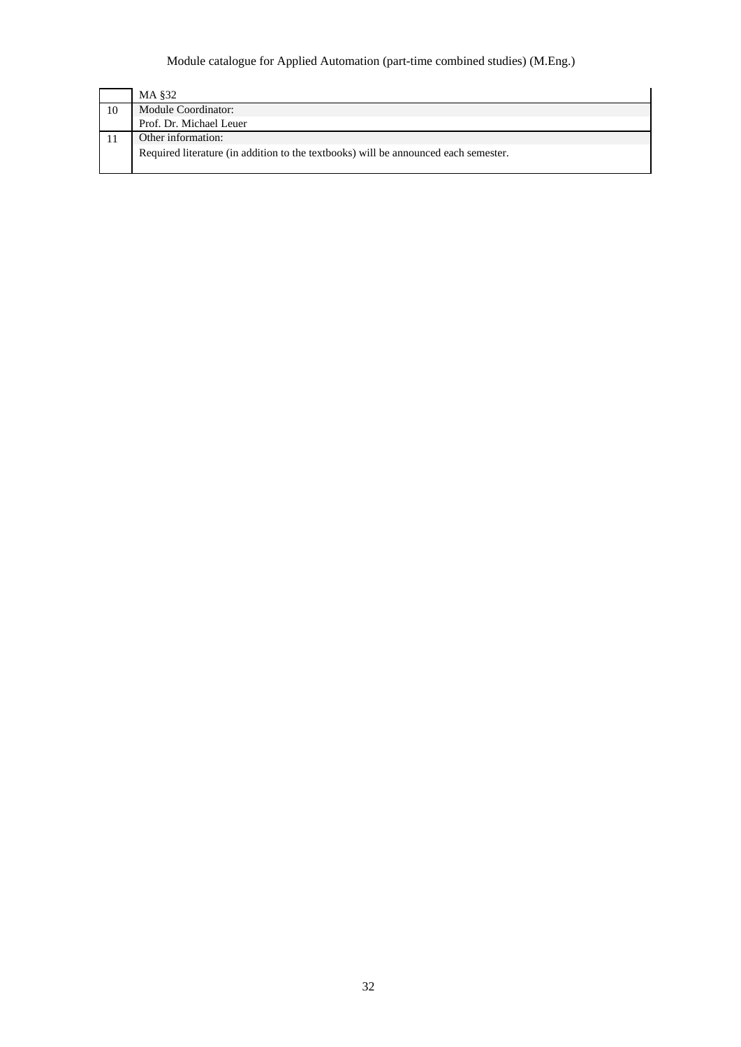|    | MA §32                                                                              |
|----|-------------------------------------------------------------------------------------|
| 10 | Module Coordinator:                                                                 |
|    | Prof. Dr. Michael Leuer                                                             |
|    | Other information:                                                                  |
|    | Required literature (in addition to the textbooks) will be announced each semester. |
|    |                                                                                     |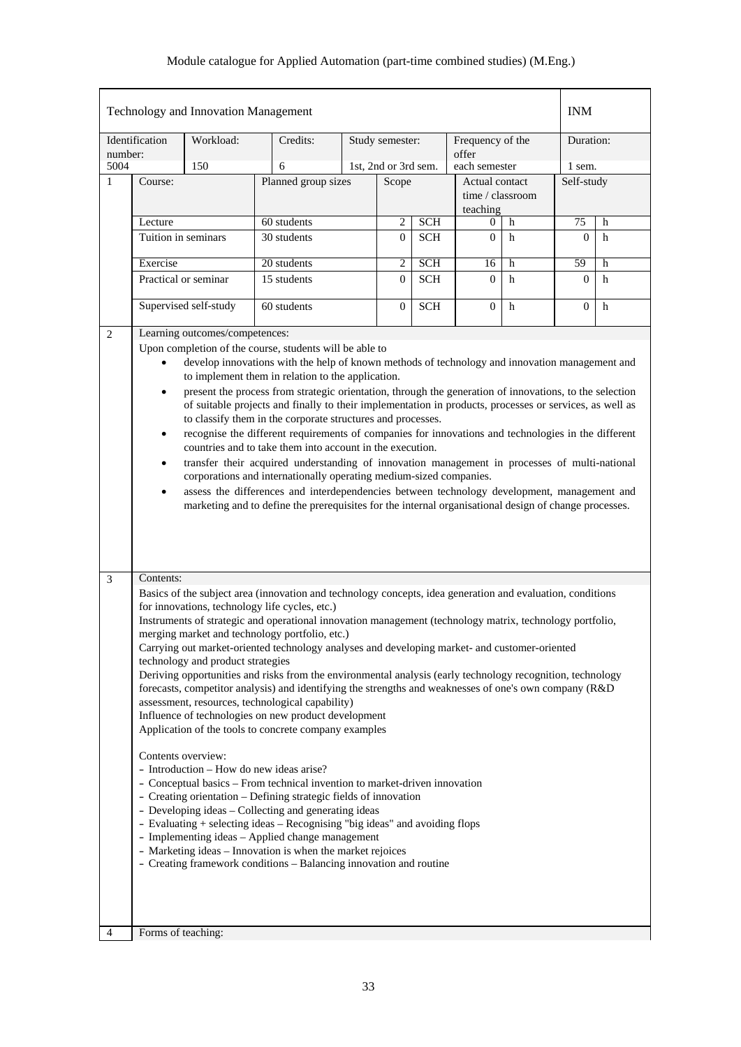|                                           | Technology and Innovation Management                                                                                                                                                                                                                                                                                                                                                                                                                                                                                                                                                                                                                                                                                                                                                                                                                                                                                                                                                                                                                                                                                                                                                                                                                                                                                                                                                                                           |           | <b>INM</b>          |              |                      |              |                                                |                |            |   |
|-------------------------------------------|--------------------------------------------------------------------------------------------------------------------------------------------------------------------------------------------------------------------------------------------------------------------------------------------------------------------------------------------------------------------------------------------------------------------------------------------------------------------------------------------------------------------------------------------------------------------------------------------------------------------------------------------------------------------------------------------------------------------------------------------------------------------------------------------------------------------------------------------------------------------------------------------------------------------------------------------------------------------------------------------------------------------------------------------------------------------------------------------------------------------------------------------------------------------------------------------------------------------------------------------------------------------------------------------------------------------------------------------------------------------------------------------------------------------------------|-----------|---------------------|--------------|----------------------|--------------|------------------------------------------------|----------------|------------|---|
| number:                                   | Identification                                                                                                                                                                                                                                                                                                                                                                                                                                                                                                                                                                                                                                                                                                                                                                                                                                                                                                                                                                                                                                                                                                                                                                                                                                                                                                                                                                                                                 | Workload: | Credits:            |              | Study semester:      |              | Frequency of the<br>offer                      |                | Duration:  |   |
| 5004                                      |                                                                                                                                                                                                                                                                                                                                                                                                                                                                                                                                                                                                                                                                                                                                                                                                                                                                                                                                                                                                                                                                                                                                                                                                                                                                                                                                                                                                                                | 150       | 6                   |              | 1st, 2nd or 3rd sem. |              | each semester                                  |                | 1 sem.     |   |
| $\mathbf{1}$                              | Course:                                                                                                                                                                                                                                                                                                                                                                                                                                                                                                                                                                                                                                                                                                                                                                                                                                                                                                                                                                                                                                                                                                                                                                                                                                                                                                                                                                                                                        |           | Planned group sizes |              | Scope                |              | Actual contact<br>time / classroom<br>teaching |                | Self-study |   |
|                                           | Lecture                                                                                                                                                                                                                                                                                                                                                                                                                                                                                                                                                                                                                                                                                                                                                                                                                                                                                                                                                                                                                                                                                                                                                                                                                                                                                                                                                                                                                        |           | 60 students         |              | $\overline{c}$       | <b>SCH</b>   | 0                                              | h              | 75         | h |
|                                           | Tuition in seminars                                                                                                                                                                                                                                                                                                                                                                                                                                                                                                                                                                                                                                                                                                                                                                                                                                                                                                                                                                                                                                                                                                                                                                                                                                                                                                                                                                                                            |           | 30 students         |              |                      | <b>SCH</b>   | $\theta$                                       | h              | $\theta$   | h |
|                                           | Exercise                                                                                                                                                                                                                                                                                                                                                                                                                                                                                                                                                                                                                                                                                                                                                                                                                                                                                                                                                                                                                                                                                                                                                                                                                                                                                                                                                                                                                       |           | 20 students         |              |                      | <b>SCH</b>   | 16                                             | h              | 59         | h |
|                                           | Practical or seminar<br>15 students                                                                                                                                                                                                                                                                                                                                                                                                                                                                                                                                                                                                                                                                                                                                                                                                                                                                                                                                                                                                                                                                                                                                                                                                                                                                                                                                                                                            |           |                     | $\mathbf{0}$ | <b>SCH</b>           | $\theta$     | h                                              | $\overline{0}$ | h          |   |
|                                           | Supervised self-study<br>60 students                                                                                                                                                                                                                                                                                                                                                                                                                                                                                                                                                                                                                                                                                                                                                                                                                                                                                                                                                                                                                                                                                                                                                                                                                                                                                                                                                                                           |           |                     | $\mathbf{0}$ | <b>SCH</b>           | $\mathbf{0}$ | h                                              | $\overline{0}$ | h          |   |
| $\overline{2}$<br>$\overline{\mathbf{3}}$ | Learning outcomes/competences:<br>Upon completion of the course, students will be able to<br>develop innovations with the help of known methods of technology and innovation management and<br>to implement them in relation to the application.<br>present the process from strategic orientation, through the generation of innovations, to the selection<br>$\bullet$<br>of suitable projects and finally to their implementation in products, processes or services, as well as<br>to classify them in the corporate structures and processes.<br>recognise the different requirements of companies for innovations and technologies in the different<br>$\bullet$<br>countries and to take them into account in the execution.<br>transfer their acquired understanding of innovation management in processes of multi-national<br>$\bullet$<br>corporations and internationally operating medium-sized companies.<br>assess the differences and interdependencies between technology development, management and<br>$\bullet$<br>marketing and to define the prerequisites for the internal organisational design of change processes.                                                                                                                                                                                                                                                                                   |           |                     |              |                      |              |                                                |                |            |   |
|                                           | Contents:<br>Basics of the subject area (innovation and technology concepts, idea generation and evaluation, conditions<br>for innovations, technology life cycles, etc.)<br>Instruments of strategic and operational innovation management (technology matrix, technology portfolio,<br>merging market and technology portfolio, etc.)<br>Carrying out market-oriented technology analyses and developing market- and customer-oriented<br>technology and product strategies<br>Deriving opportunities and risks from the environmental analysis (early technology recognition, technology<br>forecasts, competitor analysis) and identifying the strengths and weaknesses of one's own company (R&D)<br>assessment, resources, technological capability)<br>Influence of technologies on new product development<br>Application of the tools to concrete company examples<br>Contents overview:<br>- Introduction – How do new ideas arise?<br>- Conceptual basics - From technical invention to market-driven innovation<br>- Creating orientation - Defining strategic fields of innovation<br>- Developing ideas - Collecting and generating ideas<br>- Evaluating + selecting ideas - Recognising "big ideas" and avoiding flops<br>- Implementing ideas - Applied change management<br>- Marketing ideas - Innovation is when the market rejoices<br>- Creating framework conditions - Balancing innovation and routine |           |                     |              |                      |              |                                                |                |            |   |
| 4                                         | Forms of teaching:                                                                                                                                                                                                                                                                                                                                                                                                                                                                                                                                                                                                                                                                                                                                                                                                                                                                                                                                                                                                                                                                                                                                                                                                                                                                                                                                                                                                             |           |                     |              |                      |              |                                                |                |            |   |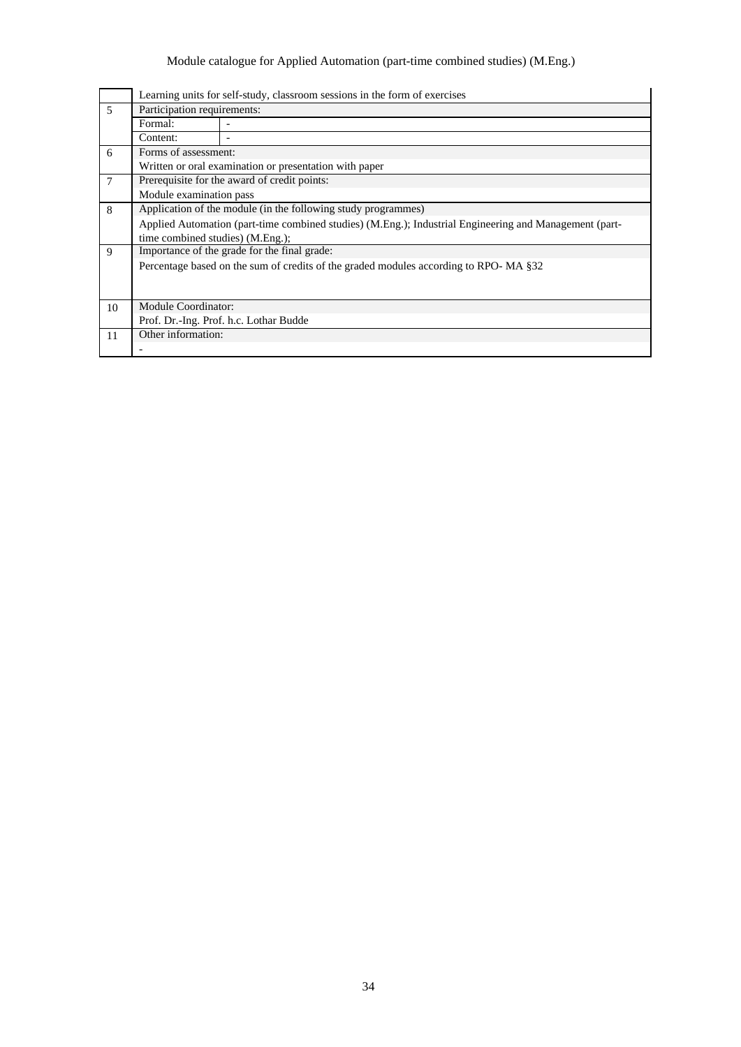|    |                                              | Learning units for self-study, classroom sessions in the form of exercises                             |  |  |  |  |  |  |  |  |
|----|----------------------------------------------|--------------------------------------------------------------------------------------------------------|--|--|--|--|--|--|--|--|
| 5  | Participation requirements:                  |                                                                                                        |  |  |  |  |  |  |  |  |
|    | Formal:                                      |                                                                                                        |  |  |  |  |  |  |  |  |
|    | Content:                                     |                                                                                                        |  |  |  |  |  |  |  |  |
| 6  | Forms of assessment:                         |                                                                                                        |  |  |  |  |  |  |  |  |
|    |                                              | Written or oral examination or presentation with paper                                                 |  |  |  |  |  |  |  |  |
| 7  | Prerequisite for the award of credit points: |                                                                                                        |  |  |  |  |  |  |  |  |
|    | Module examination pass                      |                                                                                                        |  |  |  |  |  |  |  |  |
| 8  |                                              | Application of the module (in the following study programmes)                                          |  |  |  |  |  |  |  |  |
|    |                                              | Applied Automation (part-time combined studies) (M.Eng.); Industrial Engineering and Management (part- |  |  |  |  |  |  |  |  |
|    | time combined studies) (M.Eng.);             |                                                                                                        |  |  |  |  |  |  |  |  |
| 9  |                                              | Importance of the grade for the final grade:                                                           |  |  |  |  |  |  |  |  |
|    |                                              | Percentage based on the sum of credits of the graded modules according to RPO-MA §32                   |  |  |  |  |  |  |  |  |
|    |                                              |                                                                                                        |  |  |  |  |  |  |  |  |
|    |                                              |                                                                                                        |  |  |  |  |  |  |  |  |
| 10 | <b>Module Coordinator:</b>                   |                                                                                                        |  |  |  |  |  |  |  |  |
|    |                                              | Prof. Dr.-Ing. Prof. h.c. Lothar Budde                                                                 |  |  |  |  |  |  |  |  |
| 11 | Other information:                           |                                                                                                        |  |  |  |  |  |  |  |  |
|    |                                              |                                                                                                        |  |  |  |  |  |  |  |  |